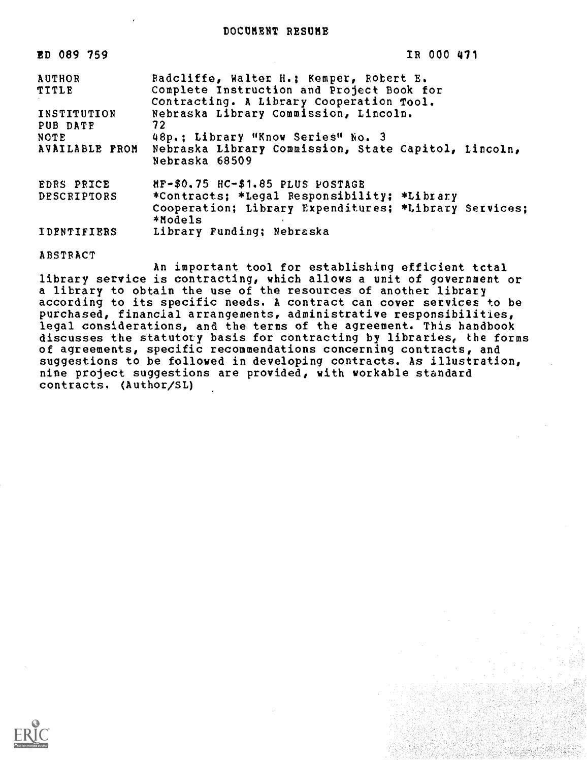DOCUMENT RESUME

| ED 089 759                            | IR 000 471                                                                                                                                                                |
|---------------------------------------|---------------------------------------------------------------------------------------------------------------------------------------------------------------------------|
| <b>AUTHOR</b><br>TITLE<br>INSTITUTION | Radcliffe, Walter H.; Kemper, Robert E.<br>Complete Instruction and Project Book for<br>Contracting. A Library Cooperation Tool.<br>Nebraska Library Commission, Lincoln. |
| PUB DATE<br>NOTE.<br>AVAILABLE FROM   | 72<br>48p.: Library "Know Series" No. 3<br>Nebraska Library Commission, State Capitol, Lincoln,<br>Nebraska 68509                                                         |
| EDRS PRICE<br><b>DESCRIPTORS</b>      | MF-\$0.75 HC-\$1.85 PLUS POSTAGE<br>*Contracts; *Legal Responsibility; *Library<br>Cooperation; Library Expenditures; *Library Services;<br>*Models                       |
| <b>IDENTIFIERS</b>                    | Library Funding; Nebraska                                                                                                                                                 |

ABSTRACT

An important tool for establishing efficient tctal library service is contracting, which allows a unit of government or a library to obtain the use of the resources of another library according to its specific needs. A contract can cover services to be purchased, financial arrangements, administrative responsibilities, legal considerations, and the terms of the agreement. This handbook discusses the statutory basis for contracting by libraries, the forms of agreements, specific recommendations concerning contracts, and suggestions to be followed in developing contracts. As illustration, nine project suggestions are provided, with workable standard contracts. (Author/SL)

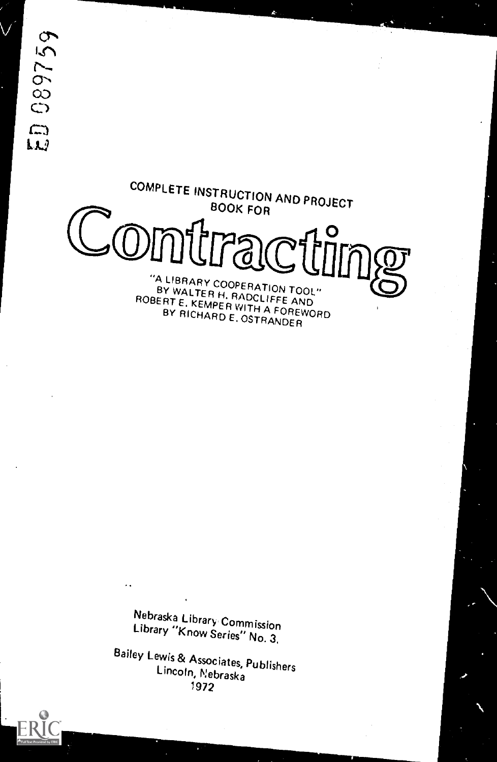1089759  $\mathfrak{m}$ 



Nebraska Library Commission Library "Know Series" No. 3,

Bailey Lewis & Associates, Publishers Lincoln, Nebraska 1972

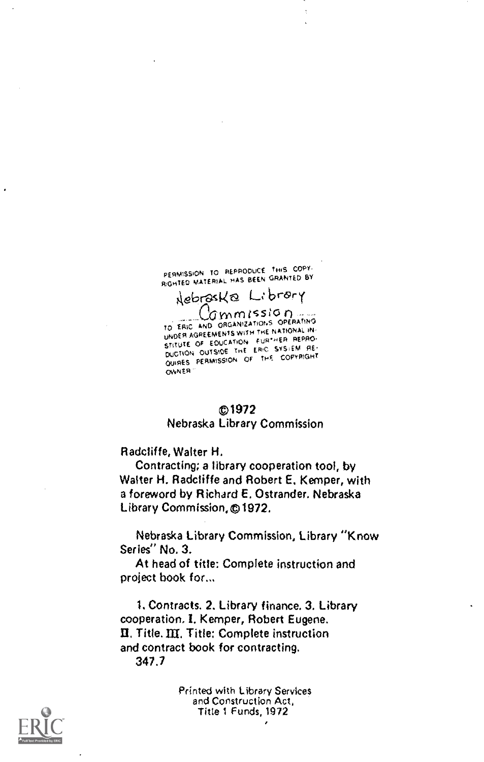PERMISSION TO REPRODUCE THIS COPY. RIGHTED MATERIAL HAS BEEN GRANTED BY Nebraska Library

Commission ... UNDER AGREEMENTS WITH THE NATIONAL IN STITUTE OF EDUCATION FURTHER REPRO-<br>DUCTION OUTSIDE THE ERIC SYSJEM RE-QUIRES PERMISSION OF THE COPYRIGHT **OWNER** 

## 01972

## Nebraska Library Commission

Radcliffe, Walter H.

Contracting; a library cooperation tool, by Walter H. Radcliffe and Robert E. Kemper, with a foreword by Richard E. Ostrander. Nebraska Library Commission,©1972.

Nebraska Library Commission, Library "Know Series" No. 3.

At head of title: Complete instruction and project book for...

1. Contracts. 2. Library finance. 3. Library cooperation. I. Kemper, Robert Eugene. Title. III. Title: Complete instruction and contract book for contracting. 347.7

> Printed with Library Services and Construction Act, Title 1 Funds, 1972



 $\overline{a}$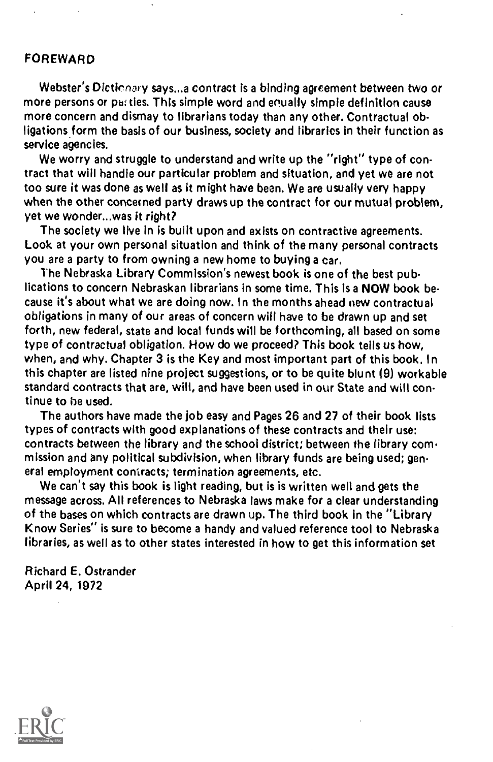## FOREWARD

Webster's Dictionary says,..a contract is a binding agreement between two or more persons or parties. This simple word and equally simple definition cause more concern and dismay to librarians today than any other. Contractual obligations form the basis of our business, society and tibrarics in their function as service agencies.

We worry and struggle to understand and write up the "right" type of contract that will handle our particular problem and situation, and yet we are not too sure it was done as well as it might have been. We are usually very happy when the other concerned party draws up the contract for our mutual problem, yet we wonder...was it right?

The society we live in is built upon and exists on contractive agreements. Look at your own personal situation and think of the many personal contracts you are a party to from owning a new home to buying a car.

The Nebraska Library Commission's newest book is one of the best publications to concern Nebraskan librarians in some time. This is a NOW book because it's about what we are doing now. In the months ahead new contractual obligations in many of our areas of concern will have to be drawn up and set forth, new federal, state and local funds will be forthcoming, all based on some type of contractual obligation. How do we proceed? This book tells us how, when, and why. Chapter 3 is the Key and most important part of this book. In this chapter are listed nine project suggestions, or to be quite blunt (9) workable standard contracts that are, will, and have been used in our State and will continue to be used.

The authors have made the job easy and Pages 26 and 27 of their book lists types of contracts with good explanations of these contracts and their use: contracts between the library and the school district; between the library commission and any political subdivision, when library funds are being used; general employment contracts; termination agreements, etc.

We can't say this book is light reading, but is is written well and gets the message across. All references to Nebraska laws make for a clear understanding of the bases on which contracts are drawn up. The third book in the "Library Know Series" is sure to become a handy and valued reference tool to Nebraska libraries, as well as to other states interested in how to get this information set

Richard E. Ostrander April 24, 1972

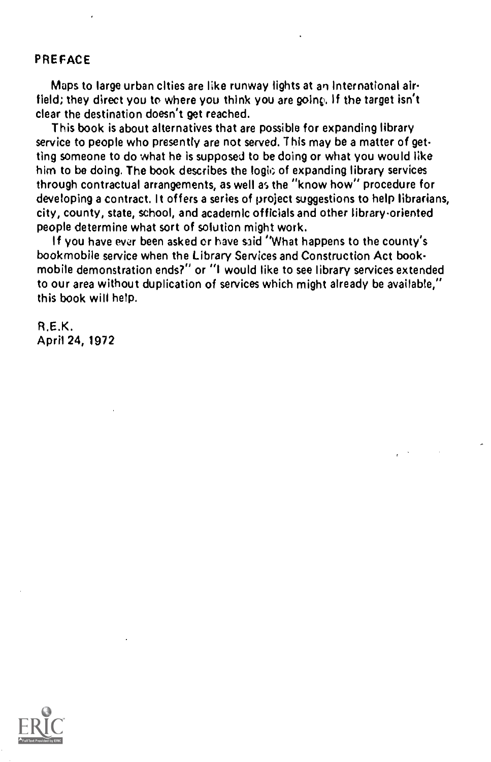## PREFACE

Maps to large urban cities are like runway lights at an international airfield; they direct you to where you think you are going. If the target isn't clear the destination doesn't get reached.

This book is about alternatives that are possible for expanding library service to people who presently are not served. This may be a matter of getting someone to do what he is supposed to be doing or what you would like him to be doing. The book describes the logic of expanding library services through contractual arrangements, as well as the "know how" procedure for developing a contract. It offers a series of project suggestions to help librarians, city, county, state, school, and academic officials and other library oriented people determine what sort of solution might work.

If you have ever been asked or have said "What happens to the county's bookmobile service when the Library Services and Construction Act bookmobile demonstration ends?" or "I would like to see library services extended to our area without duplication of services which might already be available," this book will help.

R.E.K. April 24, 1972

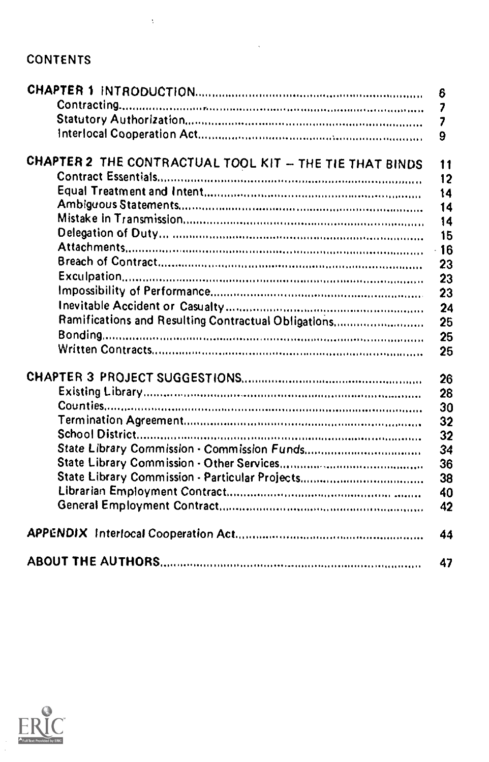# CONTENTS

 $\bar{z}$ 

|                                                         | 6        |
|---------------------------------------------------------|----------|
|                                                         | 7        |
|                                                         | 7        |
|                                                         | 9        |
| CHAPTER 2 THE CONTRACTUAL TOOL KIT - THE TIE THAT BINDS | 11       |
|                                                         | 12       |
|                                                         | 14       |
|                                                         | 14       |
|                                                         | 14       |
|                                                         | 15       |
|                                                         | 16<br>¥. |
|                                                         | 23       |
|                                                         | 23       |
|                                                         | 23       |
|                                                         | 24       |
| Ramifications and Resulting Contractual Obligations     | 25       |
|                                                         | 25       |
|                                                         | 25       |
|                                                         | 26       |
|                                                         | 28       |
|                                                         | 30       |
|                                                         | 32       |
|                                                         | 32       |
|                                                         | 34       |
|                                                         | 36       |
| State Library Commission - Particular Projects          | 38       |
|                                                         | 40       |
|                                                         | 42       |
|                                                         | 44       |
|                                                         | 47       |

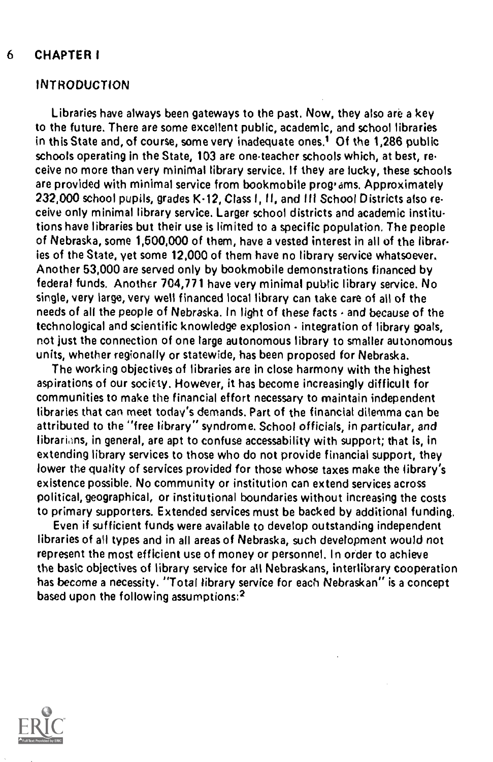## 6 CHAPTER I

## INTRODUCTION

Libraries have always been gateways to the past, Now, they also are a key to the future. There are some excellent public, academic, and school libraries in this State and, of course, some very inadequate ones.<sup>1</sup> Of the 1,286 public schools operating in the State, 103 are one-teacher schools which, at best, receive no more than very minimal library service, If they are lucky, these schools are provided with minimal service from bookmobile programs. Approximately 232,000 school pupils, grades K-12, Class I, II, and III School Districts also receive only minimal library service. Larger school districts and academic institutions have libraries but their use is limited to a specific population, The people of Nebraska, some 1,500,000 of them, have a vested interest in all of the libraries of the State, yet some 12,000 of them have no library service whatsoever. Another 53,000 are served only by bookmobile demonstrations financed by federal funds. Another 704,771 have very minimal public library service. No single, very large, very well financed local library can take care of all of the needs of all the people of Nebraska. In light of these facts  $\cdot$  and because of the technological and scientific knowledge explosion - integration of library goals, not just the connection of one large autonomous library to smaller autonomous units, whether regionally or statewide, has been proposed for Nebraska.

The working objectives of libraries are in close harmony with the highest aspirations of our society. However, it has become increasingly difficult for communities to make the financial effort necessary to maintain independent libraries that can meet today's demands. Part of the financial dilemma can be attributed to the ''free library" syndrome. School officials, in particular, and librarians, in general, are apt to confuse accessability with support; that is, in extending library services to those who do not provide financial support, they lower the quality of services provided for those whose taxes make the library's existence possible. No community or institution can extend services across political, geographical, or institutional boundaries without increasing the costs to primary supporters. Extended services must be backed by additional funding.

Even if sufficient funds were available to develop outstanding independent libraries of all types and in all areas of Nebraska, such development would not represent the most efficient use of money or personnel. In order to achieve the basic objectives of library service for all Nebraskans, interlibrary cooperation has become a necessity. "Total library service for each Nebraskan" is a concept based upon the following assumptions:2

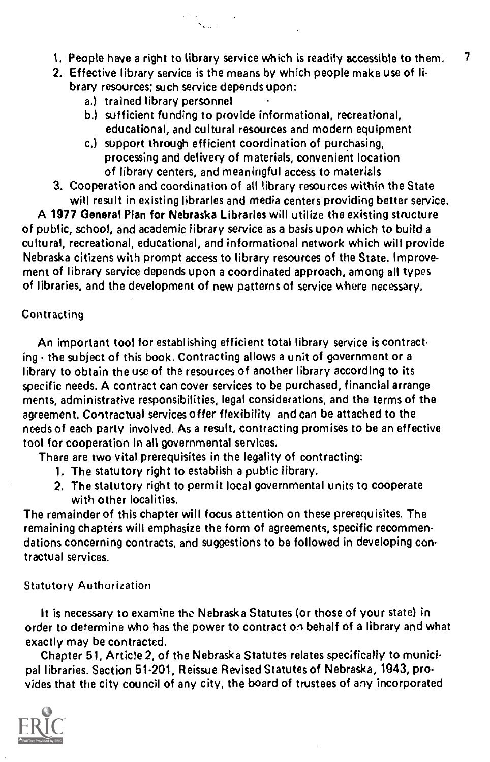- 1. People have a right to library service which is readily accessible to them,  $\frac{7}{4}$
- 2. Effective library service is the means by which people make use of library resources; such service depends upon:
	- a.) trained library personnel
	- b.) sufficient funding to provide informational, recreational, educational, and cultural resources and modern equipment
	- c.) support through efficient coordination of purchasing, processing and delivery of materials, convenient location of library centers, and meaningful access to materials
- 3. Cooperation and coordination of all library resources within the State will result in existing libraries and media centers providing better service.

A 1977 General Plan for Nebraska Libraries will utilize the existing structure of public, school, and academic library service as a basis upon which to build a cultural, recreational, educational, and informational network which will provide Nebraska citizens with prompt access to library resources of the State. Improvement of library service depends upon a coordinated approach, among all types of libraries, and the development of new patterns of service where necessary.

## Contracting

An important tool for establishing efficient total library service is contracting  $\cdot$  the subject of this book. Contracting allows a unit of government or a library to obtain the use of the resources of another library according to its specific needs. A contract can cover services to be purchased, financial arrange ments, administrative responsibilities, legal considerations, and the terms of the agreement. Contractual services offer flexibility and can be attached to the needs of each party involved. As a result, contracting promises to be an effective tool for cooperation in all governmental services.

There are two vital prerequisites in the legality of contracting:

- 1, The statutory right to establish a public library.
- 2. The statutory right to permit local governmental units to cooperate with other localities.

The remainder of this chapter will focus attention on these prerequisites. The remaining chapters will emphasize the form of agreements, specific recommendations concerning contracts, and suggestions to be followed in developing contractual services.

#### Statutory Authorization

It is necessary to examine the Nebraska Statutes (or those of your state) in order to determine who has the power to contract on behalf of a library and what exactly may be contracted.

Chapter 51, Article 2, of the Nebraska Statutes relates specifically to municipal libraries. Section 51.201, Reissue Revised Statutes of Nebraska, 1943, provides that the city council of any city, the board of trustees of any incorporated

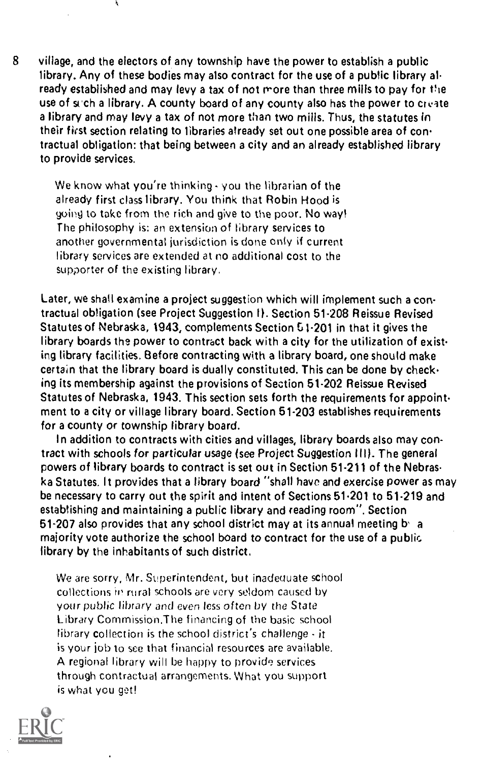8 village, and the electors of any township have the power to establish a public library. Any of these bodies may also contract for the use of a public library al ready established and may levy a tax of not more than three mills to pay for the use of such a library. A county board of any county also has the power to create a library and may levy a tax of not more than two mills. Thus, the statutes in their first section relating to libraries already set out one possible area of contractual obligation: that being between a city and an already established library to provide services.

We know what you're thinking  $\cdot$  you the librarian of the already first class library. You think that Robin Hood is going to take from the rich and give to the poor. No way! The philosophy is: an extension of library services to another governmental jurisdiction is done only if current library services are extended at no additional cost to the supporter of the existing library,

Ã,

Later, we shall examine a project suggestion which will implement such a contractual obligation (see Project Suggestion 11. Section 51.208 Reissue Revised Statutes of Nebraska, 1943, complements Section G1-201 in that it gives the library boards the power to contract back with a city for the utilization of existing library facilities. Before contracting with a library board, one should make certain that the library board is dually constituted. This can be done by checking its membership against the provisions of Section 51-202 Reissue Revised Statutes of Nebraska, 1943. This section sets forth the requirements for appointment to a city or village library board. Section 51.203 establishes requirements for a county or township library board.

In addition to contracts with cities and villages, library boards also may contract with schools for particular usage (see Project Suggestion HI). The general powers of library boards to contract is set out in Section 51.211 of the Nebras ka Statutes. It provides that a library board "shall have and exercise power as may be necessary to carry out the spirit and intent of Sections 51.201 to 51.219 and establishing and maintaining a public library and reading room". Section  $61-207$  also provides that any school district may at its annual meeting b a majority vote authorize the school board to contract for the use of a public library by the inhabitants of such district.

We are sorry, Mr. Superintendent, but inadequate school collections in rural schools are very seldom caused by your public library and even less often by the State Library Comrnission.The financing of the basic school library collection is the school district's challenge - it is your job to see that financial resources are available. A regional library will be happy to provide services through contractual arrangements. What you support is what you get!

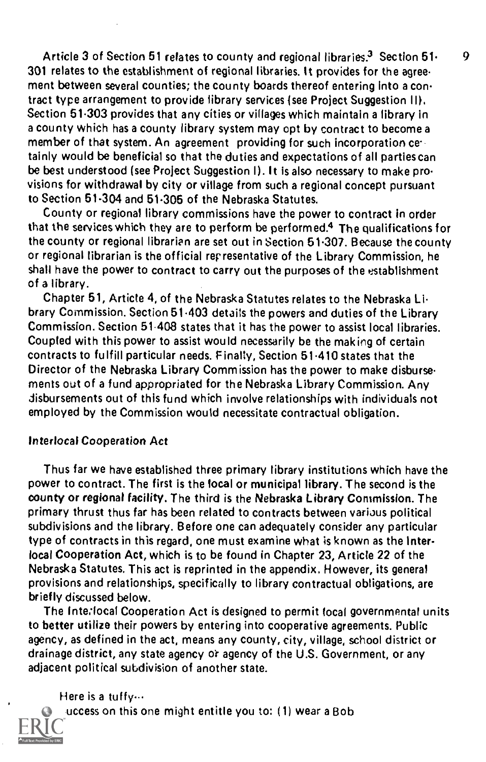Article 3 of Section 51 relates to county and regional libraries.<sup>3</sup> Section  $51 - 9$ 301 relates to the establishment of regional libraries. It provides for the agree. ment between several counties; the county boards thereof entering into a contract type arrangement to provide library services (see Project Suggestion II). Section 51.303 provides that any cities or villages which maintain a library in a county which has a county library system may opt by contract to become a member of that system. An agreement providing for such incorporation cettainly would be beneficial so that the duties and expectations of all parties can be best understood (see Project Suggestion I). It is also necessary to make pro. visions for withdrawal by city or village from such a regional concept pursuant to Section 51.304 and 51.305 of the Nebraska Statutes.

County or regional library commissions have the power to contract in order that the services which they are to perform be performed.4 The qualifications for the county or regional librarian are set out in Section 51.307. Because the county or regional librarian is the official representative of the Library Commission, he shall have the power to contract to carry out the purposes of the establishment of a library.

Chapter 51, Article 4, of the Nebraska Statutes relates to the Nebraska Li. brary Commission. Section 51.403 details the powers and duties of the Library Commission. Section 51408 states that it has the power to assist local libraries. Coupled with this power to assist would necessarily be the making of certain contracts to fulfill particular needs. Finally, Section 51.410 states that the Director of the Nebraska Library Commission has the power to make disburse ments out of a fund appropriated for the Nebraska Library Commission. Any disbursements out of this fund which involve relationships with individuals not employed by the Commission would necessitate contractual obligation.

## Interlocal Cooperation Act

Thus far we have established three primary library institutions which have the power to contract. The first is the local or municipal library. The second is the county or regional facility. The third is the Nebraska Library Commission. The primary thrust thus far has been related to contracts between various political subdivisions and the library. Before one can adequately consider any particular type of contracts in this regard, one must examine what is known as the Interlocal Cooperation Act, which is to be found in Chapter 23, Article 22 of the Nebraska Statutes. This act is reprinted in the appendix, However, its general provisions and relationships, specifically to library contractual obligations, are briefly discussed below.

The Inte.local Cooperation Act is designed to permit local governmental units to better utilize their powers by entering into cooperative agreements. Public agency, as defined in the act, means any county, city, village, school district or drainage district, any state agency o'r agency of the U.S. Government, or any adjacent political subdivision of another state.

Here is a tuffy...

 $uccess$  on this one might entitle you to: (1) wear a Bob

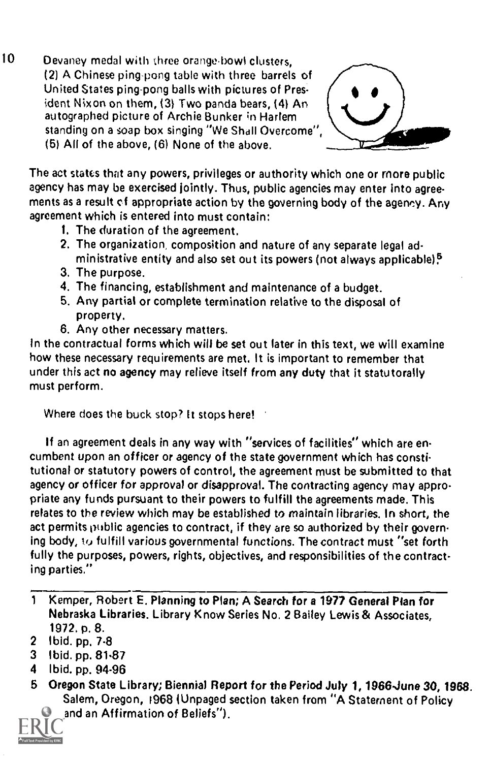10 Devaney medal with three orange-bowl clusters, (2) A Chinese ping pong table with three barrels of United States ping-pong balls with pictures of President Nixon on them, (3) Two panda bears, (4) An autographed picture of Archie Bunker in Harlem standing on a soap box singing "We Shall Overcome", (5) All of the above, (6) None of the above.



The act states that any powers, privileges or authority which one or more public agency has may be exercised jointly. Thus, public agencies may enter into agreements as a result cf appropriate action by the governing body of the agency. Any agreement which is entered into must contain:

- 1. The duration of the agreement.
- 2. The organization, composition and nature of any separate legal administrative entity and also set out its powers (not always applicable) $5$
- 3. The purpose.
- 4. The financing, establishment and maintenance of a budget.
- 5. Any partial or complete termination relative to the disposal of property.
- 6. Any other necessary matters.

In the contractual forms which will be set out later in this text, we will examine how these necessary requirements are met, It is important to remember that under this act no agency may relieve itself from any duty that it statutorally must perform.

Where does the buck stop? It stops here!

If an agreement deals in any way with "services of facilities" which are encumbent upon an officer or agency of the state government which has constitutional or statutory powers of control, the agreement must be submitted to that agency or officer for approval or disapproval. The contracting agency may appropriate any funds pursuant to their powers to fulfill the agreements made. This relates to the review which may be established to maintain libraries. In short, the act permits public agencies to contract, if they are so authorized by their governing body, iv fulfill various governmental functions. The contract must ''set forth fully the purposes, powers, rights, objectives, and responsibilities of the contracting parties."

- 2 Ibid. pp. 7.8
- 3 Ibid. pp. 81.87
- 4 Ibid. pp. 94.96
- 5 Oregon State Library; Biennial Report for the Period July 1, 1966-June 30, 1968. Salem, Oregon, 1968 (Unpaged section taken from "A Statement of Policy and an Affirmation of Beliefs").



<sup>1</sup> Kemper, Robert E. Planning to Plan; A Search for a 1977 General Plan for Nebraska Libraries. Library Know Series No. 2 Bailey Lewis & Associates, 1972. p. 8.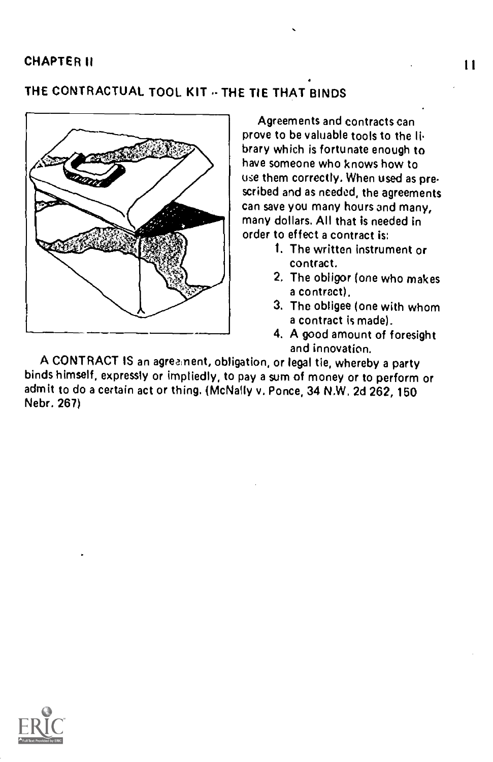# THE CONTRACTUAL TOOL KIT .. THE TIE THAT BINDS



Agreements and contracts can prove to be valuable tools to the li. brary which is fortunate enough to have someone who knows how to use them correctly. When used as prescribed and as needed, the agreements can save you many hours and many, many dollars. All that is needed in order to effect a contract is:

11

- 1. The written instrument or contract.
- 2. The obligor (one who makes a contract).
- 3. The obligee (one with whom a contract is made).
- 4. A good amount of foresight and innovation.

A CONTRACT IS an agreement, obligation, or legal tie, whereby a party binds himself, expressly or imptiedly, to pay a sum of money or to perform or admit to do a certain act or thing. (McNally v. Ponce, 34 N.W. 2d 262, 150 Nebr. 267)

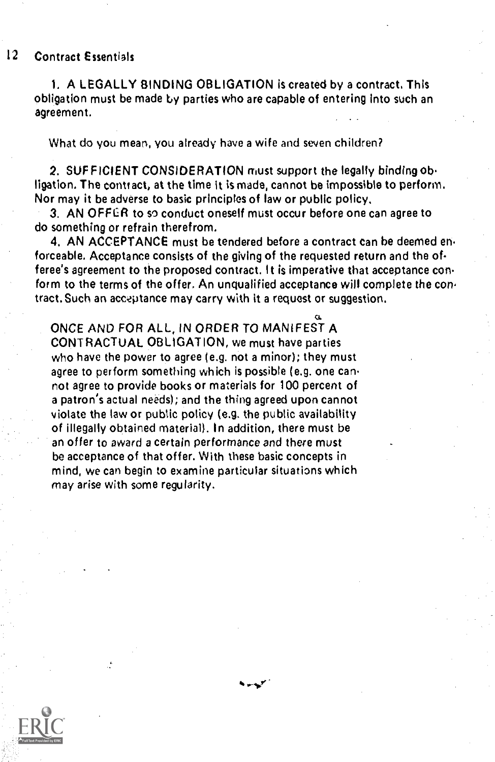## 12 Contract Essentials

1. A LEGALLY BINDING OBLIGATION is created by a contract, This obligation must be made by parties who are capable of entering into such an agreement.

What do you mean, you already have a wife and seven children?

2. SUFFICIENT CONSIDERATION must support the legally binding obligation. The contract, at the time it is made, cannot be impossible to perform. Nor may it be adverse to basic principles of law or public policy.

3. AN OFFER to so conduct oneself must occur before one can agree to do something or refrain therefrom.

4. AN ACCEPTANCE must be tendered before a contract can be deemed en. forceable. Acceptance consists of the giving of the requested return and the of feree's agreement to the proposed contract. It is imperative that acceptance con form to the terms of the offer. An unqualified acceptance will complete the contract. Such an acceptance may carry with it a request or suggestion.

ONCE AND FOR ALL, IN ORDER TO MANIFEST A CONTRACTUAL OBLIGATION, we must have parties who have the power to agree (e.g. not a minor); they must agree to perform something which is possible (e.g. one cannot agree to provide books or materials for 100 percent of a patron's actual needs); and the thing agreed upon cannot violate the law or public policy (e.g. the public availability of illegally obtained material). In addition, there must be an offer to award a certain performance and there must be acceptance of that offer. With these basic concepts in mind, we can begin to examine particular situations which may arise with some regularity.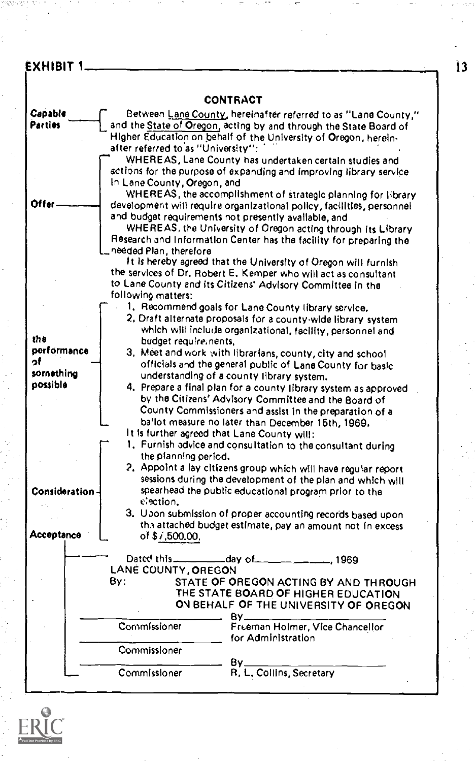# EXHIBIT 1.  $\qquad \qquad$  13

|                    | CONTRACT                                                                                                                            |  |
|--------------------|-------------------------------------------------------------------------------------------------------------------------------------|--|
| Capable<br>Parties | Between Lane County, hereinafter referred to as "Lane County,"<br>and the State of Oregon, acting by and through the State Board of |  |
|                    | Higher Education on behalf of the University of Oregon, herein-<br>after referred to as "University":                               |  |
|                    | WHEREAS, Lane County has undertaken certain studies and                                                                             |  |
|                    | actions for the purpose of expanding and improving library service                                                                  |  |
|                    | In Lane County, Oregon, and                                                                                                         |  |
| Offer              | WHEREAS, the accomplishment of strategic planning for ilbrary                                                                       |  |
|                    | development will require organizational policy, facilities, personnel<br>and budget requirements not presently available, and       |  |
|                    | WHEREAS, the University of Oregon acting through its Library                                                                        |  |
|                    | Research and Information Center has the facility for preparing the                                                                  |  |
|                    | needed Plan, therefore                                                                                                              |  |
|                    | It is hereby agreed that the University of Oregon will furnish                                                                      |  |
|                    | the services of Dr. Robert E. Kemper who will act as consultant<br>to Lane County and its Citizens' Advisory Committee in the       |  |
|                    | following matters:                                                                                                                  |  |
|                    | 1. Recommend goals for Lane County library service.                                                                                 |  |
|                    | 2. Draft alternate proposals for a county-wide library system                                                                       |  |
| the                | which will include organizational, facility, personnel and                                                                          |  |
| performance        | budget require; nents,<br>3. Meet and work with librarians, county, city and school.                                                |  |
| o۴                 | officials and the general public of Lane County for basic                                                                           |  |
| something          | understanding of a county library system.                                                                                           |  |
| possible           | 4. Prepare a final plan for a county library system as approved                                                                     |  |
|                    | by the Citizens' Advisory Committee and the Board of                                                                                |  |
|                    | County Commissioners and assist in the preparation of a<br>ballot measure no later than December 15th, 1969.                        |  |
|                    | It is further agreed that Lane County will:                                                                                         |  |
|                    | 1. Furnish advice and consultation to the consultant during                                                                         |  |
|                    | the planning period.                                                                                                                |  |
|                    | 2. Appoint a lay citizens group which will have regular report                                                                      |  |
| Consideration-     | sessions during the development of the plan and which will<br>spearhead the public educational program prior to the                 |  |
|                    | election.                                                                                                                           |  |
|                    | 3. Upon submission of proper accounting records based upon                                                                          |  |
|                    | the attached budget estimate, pay an amount not in excess                                                                           |  |
| Acceptance         | of $$7,500.00$ ,                                                                                                                    |  |
|                    | -. 1969                                                                                                                             |  |
|                    | LANÉ COUNTY, OREGON                                                                                                                 |  |
|                    | By:<br>STATE OF OREGON ACTING BY AND THROUGH                                                                                        |  |
|                    | THE STATE BOARD OF HIGHER EDUCATION<br>ON BEHALF OF THE UNIVERSITY OF OREGON                                                        |  |
|                    | 8۷.                                                                                                                                 |  |
|                    | Commissioner<br>Freeman Holmer, Vice Chancellor                                                                                     |  |
|                    | for Administration                                                                                                                  |  |
|                    | Commissioner                                                                                                                        |  |
|                    | By.<br>Commissioner<br>R. L. Collins, Secretary                                                                                     |  |
|                    |                                                                                                                                     |  |

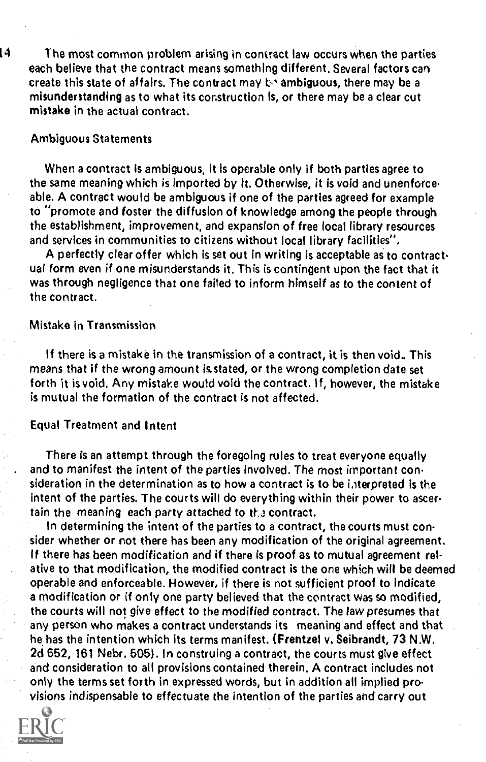$14$  The most common problem arising in contract law occurs when the parties each believe that the contract means something different. Several factors can create this state of affairs. The contract may to ambiguous, there may be a misunderstanding as to what its construction Is, or there may be a clear cut mistake in the actual contract.

#### Ambiguous Statements

When a contract is ambiguous, it is operable only if both parties agree to the same meaning which is imported by lt. Otherwise, it is void and unenforceable, A contract would be ambiguous if one of the parties agreed for example to "promote and foster the diffusion of knowledge among the people through the establishment, improvement, and expansion of free local library resources and services in communities to citizens without local library facilities'',

A perfectly clear offer which is set out in writing is acceptable as to contract ual form even if one misunderstands it. This is contingent upon the fact that it was through negligence that one failed to inform himself as to the content of the contract.

## Mistake in Transmission

if there is a mistake in the transmission of a contract, it is then void. This means that if the wrong amount is.stated, or the wrong completion date set forth it is void. Any mistake would void the contract, If, however, the mistake is mutual the formation of the contract is not affected.

## Equal Treatment and Intent

There is an attempt through the foregoing rules to treat everyone equally and to manifest the intent of the parties involved. The most important consideration in the determination as to how a contract is to be interpreted is the intent of the parties. The courts will do everything within their power to ascertain the meaning each party attached to the contract.

In determining the intent of the parties to a contract, the courts must consider whether or not there has been any modification of the original agreement. If there has been modification and if there is proof as to mutual agreement relative to that modification, the modified contract is the one which will be deemed operable and enforceable. However, if there is not sufficient proof to indicate a modification or if only one party believed that the contract was so modified, the courts will not give effect to the modified contract. The law presumes that any person who makes a contract understands its meaning and effect and that he has the intention which its terms manifest. (Frentzel v. Seibrandt, 73 N.W. 2d 652, 161 Nebr. 505}. In construing a contract, the courts must give effect and consideration to all provisions contained therein. A contract includes not only the terms set forth in expressed words, but in addition all implied provisions indispensable to effectuate the intention of the parties and carry out

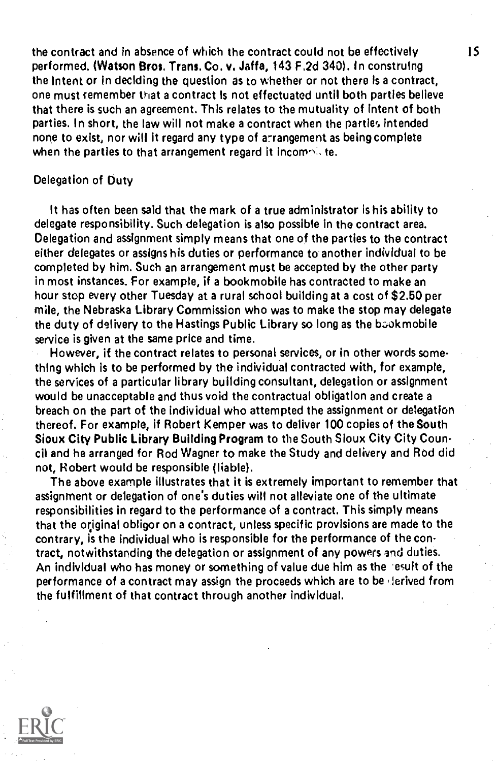the contract and in absence of which the contract could not be effectively performed. (Watson Bros. Trans. Co. v. Jaffa, 143 F.2d 340). In construing the Intent or In deciding the question as to whether or not there Is a contract, one must remember that a contract Is not effectuated until both parties believe that there is such an agreement. This relates to the mutuality of intent of both parties. In short, the law will not make a contract when the parties intended none to exist, nor will it regard any type of arrangement as being complete when the parties to that arrangement regard it incomplete.

## Delegation of Duty

It has often been said that the mark of a true administrator is his ability to delegate responsibility. Such delegation is also possible in the contract area. Delegation and assignment simply means that one of the parties to the contract either delegates or assigns his duties or performance to another individual to be completed by him. Such an arrangement must be accepted by the other party in most instances. For example, if a bookmobile has contracted to make an hour stop every other Tuesday at a rural school building at a cost of \$2.50 per mile, the Nebraska Library Commission who was to make the stop may delegate the duty of delivery to the Hastings Public Library so long as the book mobile service is given at the same price and time.

However, if the contract relates to personal services, or in other words something which is to be performed by the individual contracted with, for example, the services of a particular library building consultant, delegation or assignment would be unacceptable and thus void the contractual obligation and create a breach on the part of the individual who attempted the assignment or delegation thereof. For example, if Robert Kemper was to deliver 100 copies of the South Sioux City Public Library Building Program to the South Sioux City City Council and he arranged for Rod Wagner to make the Study and delivery and Rod did not, Robert would be responsible (liable).

The above example illustrates that it is extremely important to remember that assignment or delegation of one's duties will not alleviate one of the ultimate responsibilities in regard to the performance of a contract. This simply means that the original obligor on a contract, unless specific provisions are made to the contrary, is the individual who is responsible for the performance of the contract, notwithstanding the delegation or assignment of any powers and duties. An individual who has money or something of value due him as the -exult of the performance of a contract may assign the proceeds which are to be derived from the fulfillment of that contract through another individual.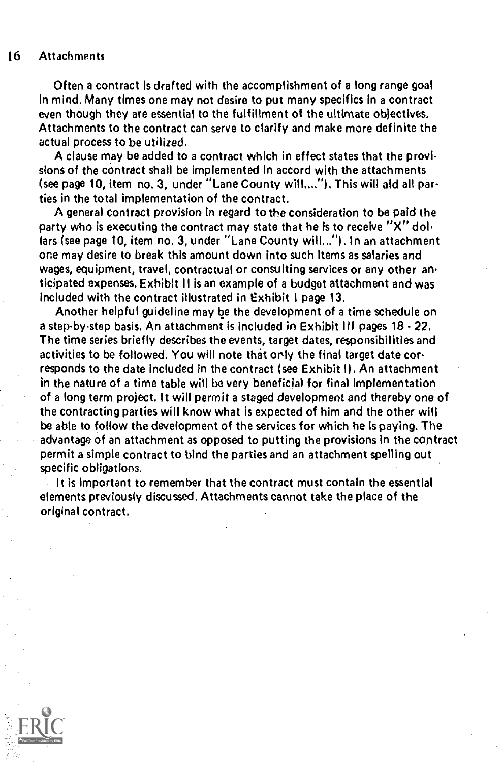#### 16 Attachments

Often a contract is drafted with the accomplishment of a long range goal in mind. Many times one may not desire to put many specifics in a contract even though they are essential to the fulfillment of the ultimate objectives. Attachments to the contract can serve to clarify and make more definite the actual process to be utilized.

A clause may be added to a contract which in effect states that the provisions of the contract shall be Implemented in accord with the attachments (see page 10, item no. 3, under "Lane County will..,."). This will aid all parties in the total implementation of the contract.

A general Contract provision In regard to the consideration to be paid the party who is executing the contract may state that he is to receive  $"X"$  dollars (see page 10, item no. 3, under "Lane County will..."). In an attachment one may desire to break this amount down into such items as salaries and wages, equipment, travel, contractual or consulting services or any other anticipated expenses. Exhibit II is an example of a budget attachment and was included with the contract illustrated in Exhibit I page 13.

Another helpful guideline may be the development of a time schedule on a step-by-step basis. An attachment is included in Exhibit III pages  $18 \cdot 22$ . The time series briefly describes the events, target dates, responsibilities and activities to be followed. You will note that only the final target date corresponds to the date included in the contract (see Exhibit I). An attachment in the nature of a time table will be very beneficial for final implementation of a long term project. It will permit a staged development and thereby one of the contracting parties will know what is expected of him and the other will be able to follow the development of the services for which he Is paying. The advantage of an attachment as opposed to putting the provisions in the contract permit a simple contract to bind the parties and an attachment spelling out specific obligations.

It is important to remember that the contract must contain the essential elements previously discussed. Attachments cannot take the place of the original contract.

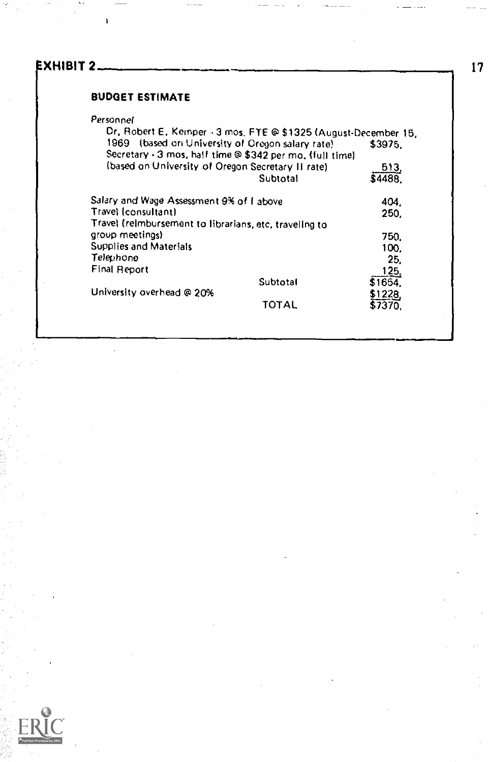# EXHIBIT 2

## BUDGET ESTIMATE

## Personnel

 $\mathbf{I}$ 

| Dr, Robert E, Keinper - 3 mos, FTE @ \$1325 (August-December 15, |          |                   |
|------------------------------------------------------------------|----------|-------------------|
| 1969 (based on University of Oregon salary rate)                 |          | \$3975.           |
| Secretary - 3 mos, half time @ \$342 per mo, (full time)         |          |                   |
| (based on University of Oregon Secretary II rate)                |          | __513.<br>\$4488. |
|                                                                  | Subtotal |                   |
| Salary and Wage Assessment 9% of I above                         |          | 404.              |
| Travel (consultant)                                              |          | 250.              |
| Travel (reimbursement to librarians, etc, traveling to           |          |                   |
| group meetings).                                                 |          | 750.              |
| Supplies and Materials                                           |          | 100.              |
| Telephono                                                        |          | 25.               |
| Final Report                                                     |          | 125,              |
|                                                                  | Subtotal | \$1654.           |
| University overhead @ 20%                                        |          | \$1228,           |
|                                                                  | TOTAL    | \$7370.           |
|                                                                  |          |                   |

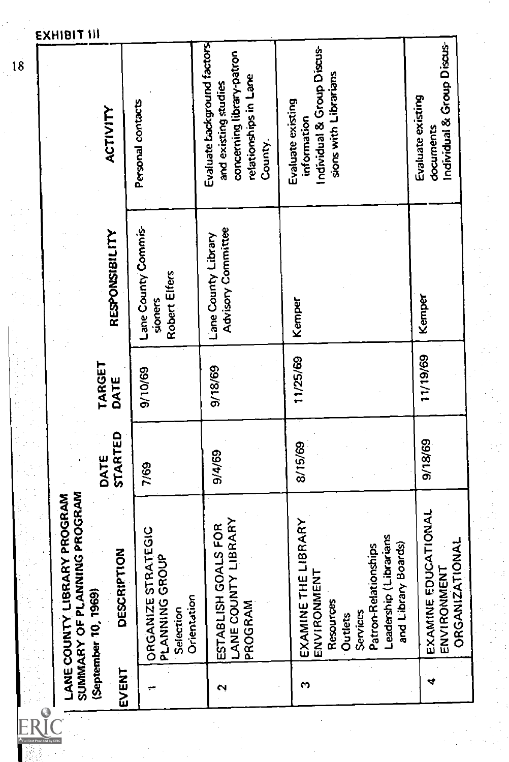|                    | SUMMARY OF PLANNING PROGRAM<br><b>IBRARY PROGRAM</b><br>LANE COUNTY L             |                 |                |                                                 |                                                                                                                      |
|--------------------|-----------------------------------------------------------------------------------|-----------------|----------------|-------------------------------------------------|----------------------------------------------------------------------------------------------------------------------|
| EVENT              | DESCRIPTION<br>(September 10, 1969)                                               | STARTED<br>DATE | TARGET<br>DATE | RESPONSIBILITY                                  | ACTIVITY                                                                                                             |
|                    | ORGANIZE STRATEGIC<br>PLANNING GROUP<br>Orientation<br>Selection                  | 7/69            | 9/10/69        | Lane County Commis-<br>Robert Elfers<br>sioners | Personal contacts                                                                                                    |
| $\mathbf{\hat{z}}$ | LANE COUNTY LIBRARY<br>ESTABLISH GOALS FOR<br>PROGRAM                             | 9/4/69          | 9/18/69        | Advisory Committee<br>Lane County Library       | Evaluate background factors<br>concerning library-patron<br>relationships in Lane<br>and existing studies<br>County. |
| S                  | EXAMINE THE LIBRARY<br>IMENT<br>Resources<br>ENVIRON<br>Outlets                   | 8/15/69         | 11/25/69       | Kemper                                          | Individual & Group Discus-<br>sions with Librarians<br>Evaluate existing<br>information                              |
|                    | Leadership (Librarians<br>and Library Boards)<br>Patron-Relationships<br>Services |                 |                |                                                 |                                                                                                                      |
| ෑ                  | E EDUCATIONAL<br><b>ORGANIZATIONAL</b><br>ENVIRONMENT<br>EXAMINI                  | 9/18/69         | 11/19/69       | Kemper                                          | Individual & Group Discus-<br>Evaluate existing<br>documents                                                         |
|                    |                                                                                   |                 |                |                                                 |                                                                                                                      |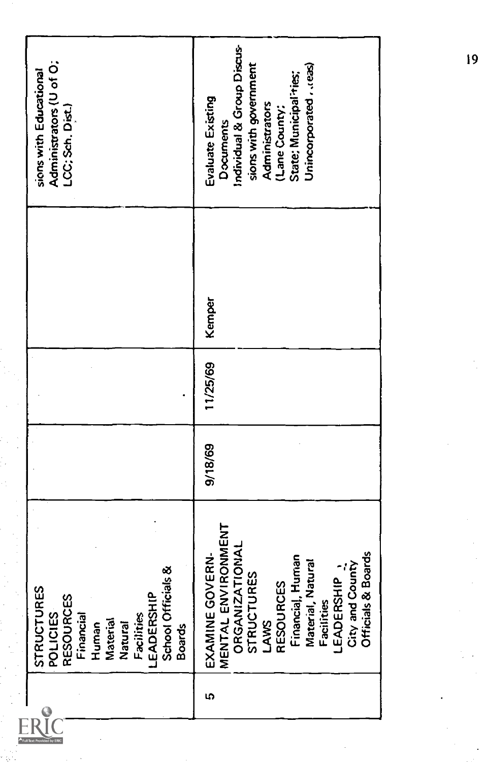| Individual & Group Discus-<br>sions with government<br>Unincorporated , . (eas)<br>State: Municipal ries;<br>Evaluate Existing<br>Administrators<br>(Lane County;<br>Documents<br>Kemper<br>11/25/69<br>9/18/69<br>EXAMINE GOVERN-<br>MENTAL ENVIRONMENT<br>ORGANIZATIONAL<br>STRUCTURES<br>LAWS<br>LAWS<br>RESOURCES<br>RESOURCES<br>Financial, Human<br>Facilities<br>LEADERSHIP<br>LEADERSHIP<br>STRUCTURES<br>POLICIES<br>RESOURCES<br>RESOURCES<br>Financial<br>Human<br>Material<br>LEADERSHIP<br>LEADERSHIP<br>School Officials &<br>School Officials &<br>School Officials &<br>5 |
|-------------------------------------------------------------------------------------------------------------------------------------------------------------------------------------------------------------------------------------------------------------------------------------------------------------------------------------------------------------------------------------------------------------------------------------------------------------------------------------------------------------------------------------------------------------------------------------------|
|                                                                                                                                                                                                                                                                                                                                                                                                                                                                                                                                                                                           |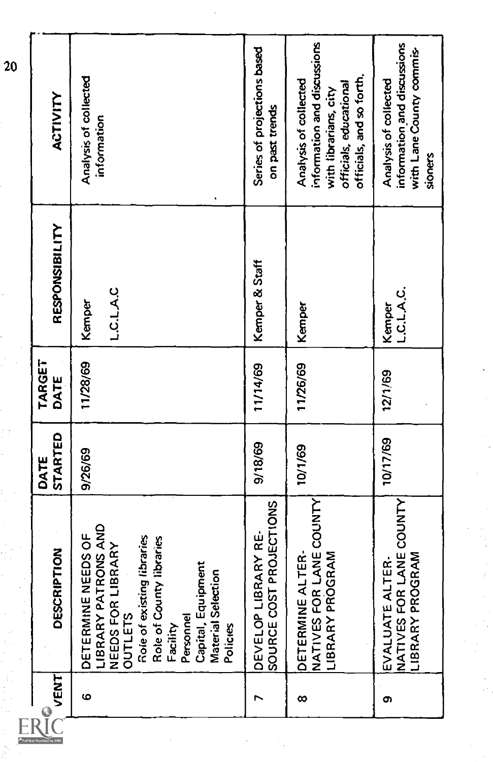| VENT     | DESCRIPTION                                                                                                                                                                                                                    | STARTED<br>DATE | TARGET<br>DATE | RESPONSIBILITY             | ACTIVITY                                                                                                                            |
|----------|--------------------------------------------------------------------------------------------------------------------------------------------------------------------------------------------------------------------------------|-----------------|----------------|----------------------------|-------------------------------------------------------------------------------------------------------------------------------------|
| ဖ        | PATRONS AND<br>DETERMINE NEEDS OF<br>Role of existing libraries<br>Role of County libraries<br>NEEDS FOR LIBRARY<br>Capital, Equipment<br>Material Selection<br>LIBRARY<br><b>OUTLETS</b><br>Personnel<br>Facility<br>Policies | 9/26/69         | 11/28/69       | <b>L.C.L.A.C</b><br>Kemper | Analysis of collected<br>information                                                                                                |
| r        | SOURCE COST PROJECTIONS<br>DEVELOP LIBRARY RE-                                                                                                                                                                                 | 9/18/69         | 11/14/69       | Kemper & Staff             | Series of projections based<br>on past trends                                                                                       |
| $\infty$ | FOR LANE COUNTY<br>NE ALTER-<br>PROGRAM<br><b>DETERMI</b><br>LIBRARY<br>NATIVES                                                                                                                                                | 10/1/69         | 11/26/69       | Kemper                     | information and discussions<br>officials, and so forth.<br>Analysis of collected<br>officials, educational<br>with librarians, city |
| თ        | FOR LANE COUNTY<br>PROGRAM<br>E ALTER-<br>EVALUAT<br>NATIVES<br>LIBRARY                                                                                                                                                        | 10/17/69        | 12/1/69        | L.C.L.A.C.<br>Kemper       | information and discussions<br>with Lane County commis-<br>Analysis of collected<br>sioners                                         |
|          |                                                                                                                                                                                                                                |                 |                |                            |                                                                                                                                     |
|          |                                                                                                                                                                                                                                |                 |                |                            |                                                                                                                                     |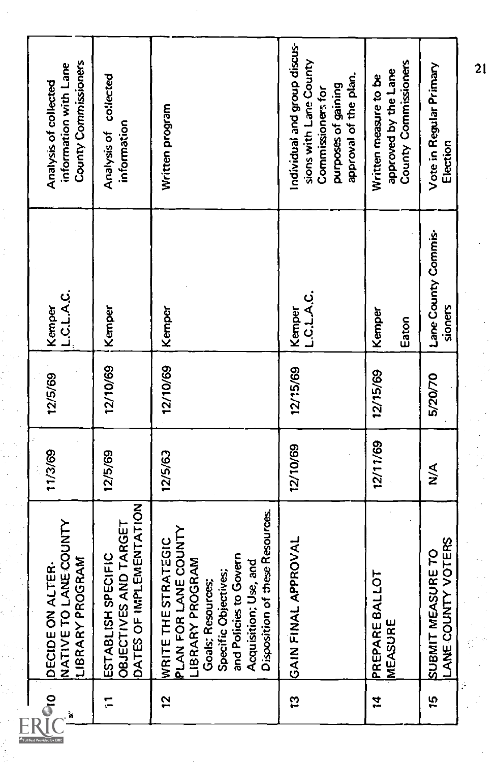| $\frac{1}{2}$ | <b>TO LANE COUNTY</b><br>PROGRAM<br><b>JN ALTER-</b><br>LIBRARY<br>DECIDE <sup>C</sup><br>NATIVE.                                                                                                            | 11/3/69       | 12/5/69  | L.C.L.A.C.<br>Kemper           | County Commissioners<br>information with Lane<br>Analysis of collected                                                      |  |
|---------------|--------------------------------------------------------------------------------------------------------------------------------------------------------------------------------------------------------------|---------------|----------|--------------------------------|-----------------------------------------------------------------------------------------------------------------------------|--|
|               | DATES OF IMPLEMENTATION<br>OBJECTIVES AND TARGET<br>ESTABLISH SPECIFIC                                                                                                                                       | 12/5/69       | 12/10/69 | Kemper                         | Analysis of collected<br>information                                                                                        |  |
|               | Disposition of these Resources.<br>PLAN FOR LANE COUNTY<br>WRITE THE STRATEGIC<br>and Policies to Govern<br>PROGRAM<br>Acquisition: Use, and<br>Specific Objectives;<br><b>Goals</b> ; Resources;<br>LIBRARY | 12/5/63       | 12/10/69 | Kemper                         | Written program                                                                                                             |  |
| ឆ្ន           | GAIN FINAL APPROVAL                                                                                                                                                                                          | 12/10/69      | 12/15/69 | ن A دی.<br>ت<br>Kemper         | Individual and group discus-<br>sions with Lane County<br>approval of the plan.<br>purposes of gaining<br>Commissioners for |  |
| $\ddot{a}$    | <b>BALLOT</b><br>PREPARE<br>MEASURE                                                                                                                                                                          | 12/11/69      | 12/15/69 | Kemper<br>Eaton                | County Commissioners<br>approved by the Lane<br>Written measure to be                                                       |  |
| 15            | UNTY VOTERS<br>SUBMIT MEASURE TO<br>ANE CO                                                                                                                                                                   | $\frac{8}{2}$ | 5/20/70  | Lane County Commis-<br>sioners | Vote in Regular Primary<br>Election                                                                                         |  |
|               |                                                                                                                                                                                                              |               |          |                                | 21                                                                                                                          |  |

 $A_{Full}$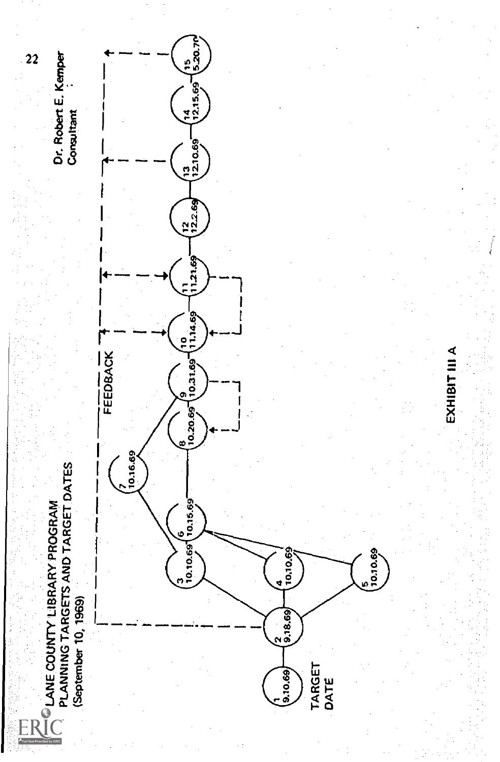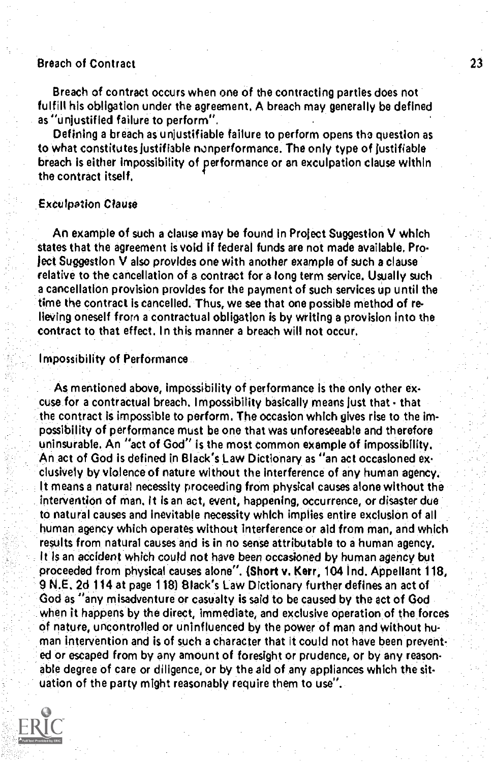## Breach of Contract 23

Breach of contract occurs when one of the contracting parties does not fulfill his obligation under the agreement, A breach may generally be defined as "unjustified failure to perform",

Defining a breach as unjustifiable failure to perform opens tho question as to what constitutes justifiable nonperformance. The only type of justifiable breach is either impossibility of performance or an exculpation clause within the contract itself,

#### Exculpation Clause

An example of such a clause may be found in Project Suggestion V which states that the agreement is void if federal funds are not made available. Project Suggestion V also provides one with another example of such a clause relative to the cancellation of a contract for a long term service. Usually such a cancellation provision provides for the payment of such services up until the time the contract is cancelled. Thus, we see that one possible method of relieving oneself from a contractual obligation is by writing a provision into the contract to that effect. In this manner a breach will not occur,

#### Impossibility of Performance

As mentioned above, impossibility of performance is the only other excuse for a contractual breach. Impossibility basically means just that - that the contract is impossible to perform. The occasion which gives rise to the Impossibility of performance must be one that was unforeseeable and therefore uninsurable, An "act of God" is the most common example of impossibility. An act of God is defined in Black's Law Dictionary as "an act occasioned exciusively by violence of nature without the interference of any human agency. It means a natural necessity proceeding from physical causes alone without the intervention of man. It is an act, event, happening, occurrence, or disaster due to natural causes and inevitable necessity which Implies entire exclusion of all human agency which operates without interference or aid from man, and which results from natural causes and is in no sense attributable to a human agency. It Is an accident which could not have been occasioned by human agency but proceeded from physical causes alone". (Short y, Kerr, 104 Ind, Appellant 118, 9 N.E. 2d 114 at page 118) Black's Law Dictionary further defines an act of God as "any misadventure or casualty is said to be caused by the act of God when it happens by the direct, immediate, and exclusive operation of the forces of nature, uncontrolled or uninfluenced by the power of man and without human intervention and is of such a character that it could not have been prevented or escaped from by any amount of foresight or prudence, or by any reasonable degree of care or diligence, or by the aid of any appliances which the situation of the party might reasonably require them to use".

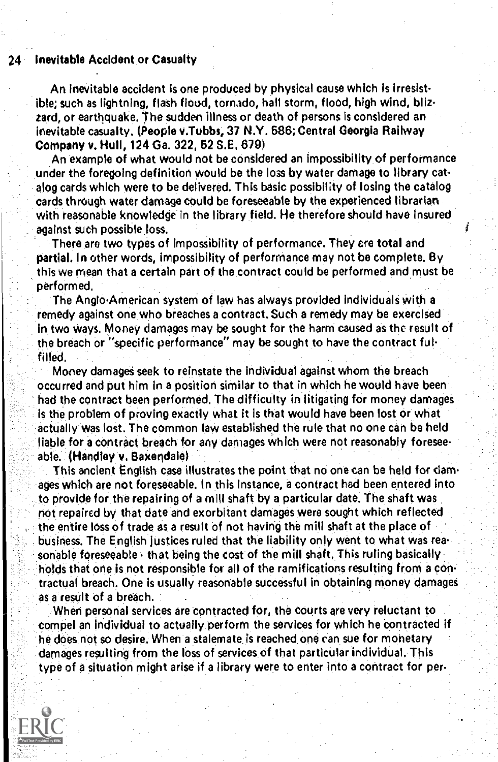#### 24 Inevitable Accident or Casualty

An Inevitable accident is one produced by physical cause which is irresistible; such as lightning, flash flood, tornado, hall storm, flood, high wind, blizzard, or earthquake. The sudden illness or death of persons is considered an inevitable casualty. (People v.Tubbs, 37 N.Y. 686; Central Georgia Railway Company v. Hull, 124 Ga. 322, 52 S.E. 679)

An example of what would not be considered an impossibility of performance under the foregoing definition would be the loss by water damage to library catalog cards which were to be delivered. This basic possibility of losing the catalog cards through water damage could be foreseeable by the experienced librarian with reasonable knowledge in the library field. He therefore should have insured against such possible loss.

There are two types of impossibility of performance. They are total and partial. In other words, impossibility of performance may not be complete. By this we mean that a certain part of the contract could be performed and must be performed.

The Anglo-American system of law has always provided individuals with a remedy against one who breaches a contract. Such a remedy may be exercised in two ways. Money damages may be sought for the harm caused as the result of the breach or "specific performance" may be sought to have the contract fulfilled.

Money damages seek to reinstate the individual against whom the breach occurred and put him in a position similar to that in which he would have been had the contract been performed. The difficulty in litigating for money damages is the problem of proving exactly what it is that would have been lost or what actually was lost. The common law established the rule that no one can be held liable for a contract breach for any damages which were not reasonably foreseeable. (Handley v. Baxendale)

This ancient English case illustrates the point that no one can be held for damages which are not foreseeable. In this instance, a contract had been entered into to provide for the repairing of a mill shaft by a particular date. The shaft was not repaired by that date and exorbitant damages were sought which reflected the entire loss of trade as a result of not having the mill shaft at the place of business. The English justices ruled that the liability only went to what was rea sonable foreseeable that being the cost of the mill shaft. This ruling basically holds that one is not responsible for all of the ramifications resulting from a contractual breach. One is usually reasonable successful in obtaining money damages as a result of a breach.

When personal services are contracted for, the courts are very reluctant to compel an individual to actually perform the services for which he contracted if he does not so desire. When a stalemate is reached one can sue for monetary damages resulting from the loss of services of that particular individual. This type of a situation might arise if a library were to enter into a contract for per-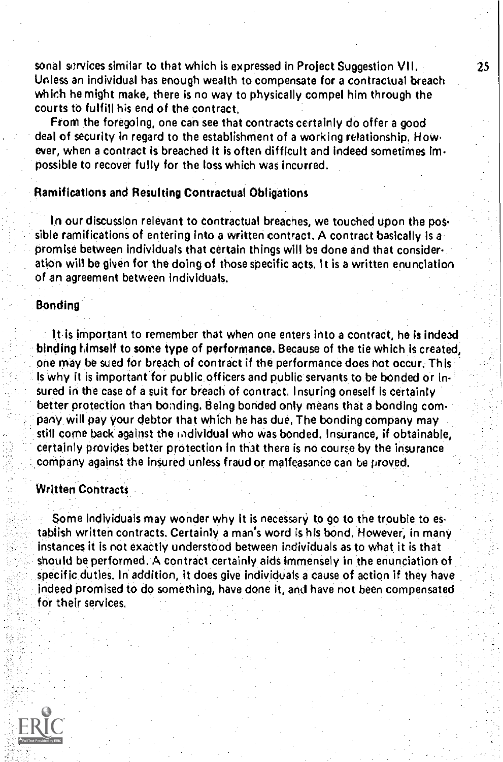sonal services similar to that which is expressed in Project Suggestion VII, Unless an individual has enough wealth to compensate for a contractual breach which he might make, there is no way to physically compel him through the courts to fulfill his end of the contract,

From the foregoing, one can see that contracts certainly do offer a good deal of security in regard to the establishment of a working relationship, How. ever, when a contract is breached it is often difficult and indeed sometimes impossible to recover fully for the loss which was incurred.

#### Ramifications and Resulting Contractual Obligations

In our discussion relevant to contractual breaches, we touched upon the pos sible ramifications of entering into a written contract. A contract basically Is a promise between individuals that certain things will be done and that consideration will be given for the doing of those specific acts, It is a written enunciation of an agreement between individuals.

#### Bonding

It is important to remember that when one enters into a contract, he is indeed binding himself to some type of performance. Because of the tie which is created, one may be sued for breach of contract if the performance does not occur. This Is why it is important for public officers and public servants to be bonded or insured in the case of a suit for breach of contract. Insuring oneself is certainty better protection than bonding. Being bonded only means that a bonding company will pay your debtor that which he has due. The bonding company may still come back against the individual who was bonded. Insurance, if obtainable, certainly provides better protection in that there is no course by the insurance company against the insured unless fraud or malfeasance can he proved.

#### Written Contracts

Some Individuals may wonder why it is necessary to go to the trouble to establish written contracts. Certainly a man's word is his bond. However, in many instances it is not exactly understood between individuals as to what it is that should be performed. A contract certainly aids immensely in the enunciation of specific duties. In addition, it does give individuals a cause of action if they have indeed promised to do something, have done It and have not been compensated for their services.

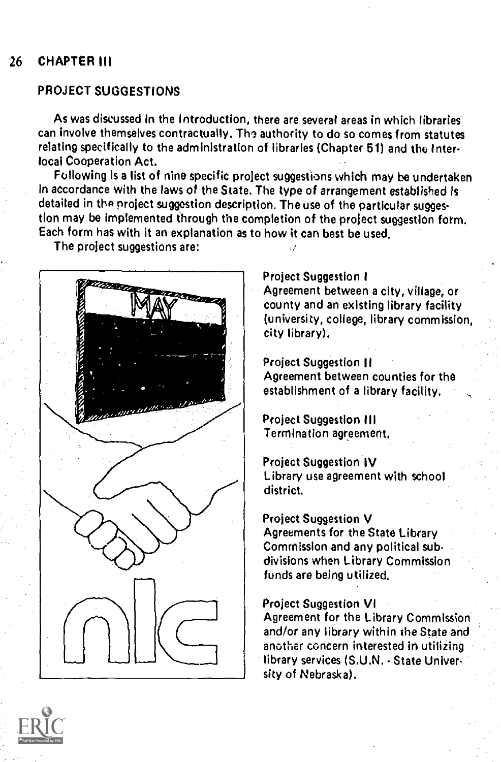## 26 CHAPTER III

## PROJECT SUGGESTIONS

As was discussed in the Introduction, there are several areas in which libraries can involve themselves contractually. The authority to do so comes from statutes relating specifically to the administration of libraries (Chapter 61) and the Interlocal Cooperation Act.

Following is a list of nine specific project suggestions which may be undertaken In accordance with the laws of the State. The type of arrangement established is detailed in the project suggestion description. The use of the particular suggestion may be implemented through the completion of the project suggestion form. Each form has with it an explanation as to how it can best be used.

The project suggestions are:



## Project Suggestion I

Agreement between a city, village, or county and an existing library facility (university, college, library commission, city library).

Project Suggestion II Agreement between counties for the establishment of a library facility.

Project Suggestion III Termination agreement,

#### Project Suggestion IV

Library use agreement with school district,

## Project Suggestion V

Agreements for the State Library Commission and any political subdivisions when Library Commission funds are being utilized.

#### Project Suggestion VI

Agreement for the Library Commission and/or any library within the State and another concern interested in utilizing library services (S.U.N. - State University of Nebraska).

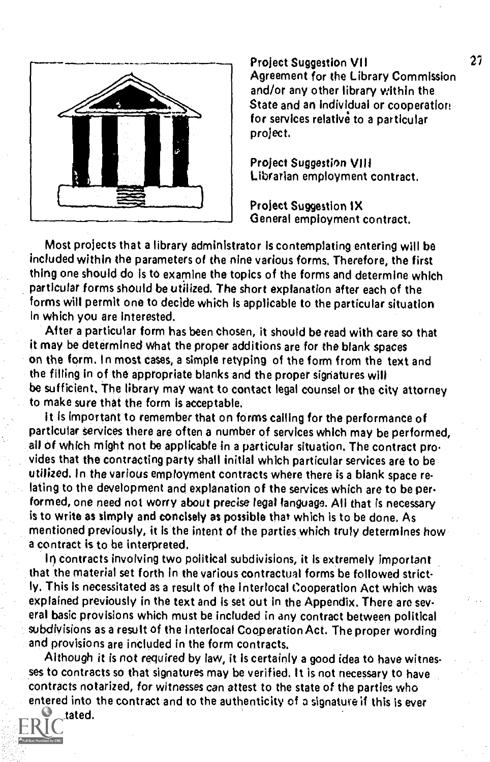

Project Suggestion VII Agreement for the Library Commission and/or any other library within the State and an Individual or cooperation for services relative to a particular project,

Project Suggestion VIII Librarian employment contract,

Project Suggestion IX General employment contract.

Most projects that a library administrator Is contemplating entering will be included within the parameters of the nine various forms. Therefore, the first thing one should do is to examine the topics of the forms and determine which particular forms should be utilized. The short explanation after each of the forms will permit one to decide which is applicable to the particular situation In which you are Interested.

After a particular form has been chosen, it should be read with care so that it may be determined what the proper additions are for the blank spaces on the form. In most cases, a simple retyping of the form from the text and the filling in of the appropriate blanks and the proper signatures will be sufficient. The library may want to contact legal counsel or the city attorney to make sure that the form is acceptable.

it is important to remember that on forms calling for the performance of particular services there are often a number of services which may be performed, all of which might not be applicable in a particular situation. The contract provides that the contracting party shall initial which particular services are to be utilized. In the various employment contracts where there is a blank space relating to the development and explanation of the services which are to be per. formed, one need not worry about precise legal language. All that is necessary is to write as simply and concisely as possible that which is to be done. As mentioned previously, it is the intent of the parties which truly determines how a contract is to be interpreted.

In contracts involving two political subdivisions, it Is extremely important that the material set forth In the various contractual forms be followed strictly. This is necessitated as a result of the interlocal Cooperation Act which was explained previously in the text and is set out in the Appendix. There are several basic provisions which must be included in any contract between political subdivisions as a result of the interlocal Cooperation Act. The proper wording and provisions are included in the form contracts.

Although it is not required by law, it Is certainly a good idea to have witnesses to contracts so that signatures may be verified, It is not necessary to have contracts notarized, for witnesses can attest to the state of the parties who entered into the contract and to the authenticity of a signature if this is ever

tated.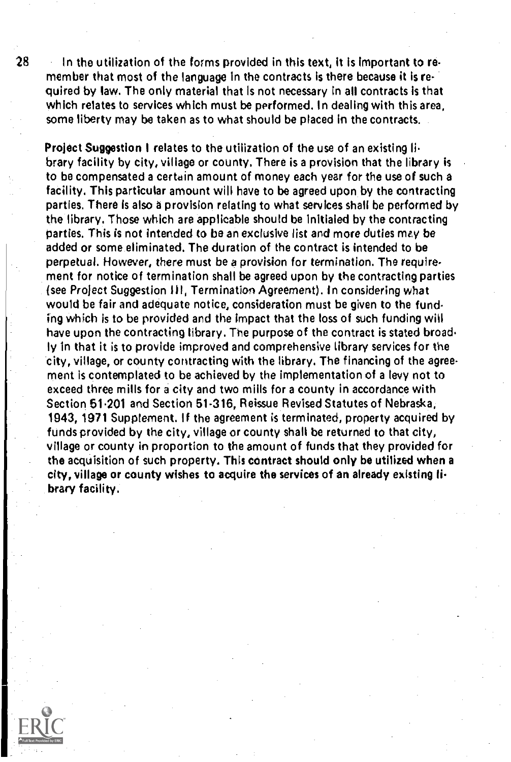28 In the utilization of the forms provided in this text, It is Important to remember that most of the language in the contracts is there because it is required by law. The only material that Is not necessary in all contracts is that which relates to services which must be performed. In dealing with this area, some liberty may be taken as to what should be placed In the contracts.

Project Suggestion I relates to the utilization of the use of an existing library facility by city, village or county, There is a provision that the library is to be compensated a certain amount of money each year for the use of such a facility, This particular amount will have to be agreed upon by the contracting parties. There is also a provision relating to what services shall be performed by the library, Those which are applicable should be initialed by the contracting parties. This is not intended to be an exclusive list and more duties may be added or some eliminated. The duration of the contract is intended to be perpetual. However, there must be a provision for termination. The requirement for notice of termination shall be agreed upon by the contracting parties {see Project Suggestion III, Termination Agreement). In considering what would be fair and adequate notice, consideration must be given to the funding which is to be provided and the impact that the loss of such funding wilt have upon the contracting library. The purpose of the contract is stated broad. ly in that it is to provide improved and comprehensive library services for the city, village, or county contracting with the library. The financing of the agreement is contemplated to be achieved by the implementation of a levy not to exceed three mills for a city and two mills for a county in accordance with Section 51.201 and Section 51.316, Reissue Revised Statutes of Nebraska, 1943, 1971 Supplement. If the agreement is terminated, property acquired by funds provided by the city, village or county shall be returned to that city, village or county in proportion to the amount of funds that they provided for the acquisition of such property. This contract should only be utilized when a city, village or county wishes to acquire the services of an already existing library facility.



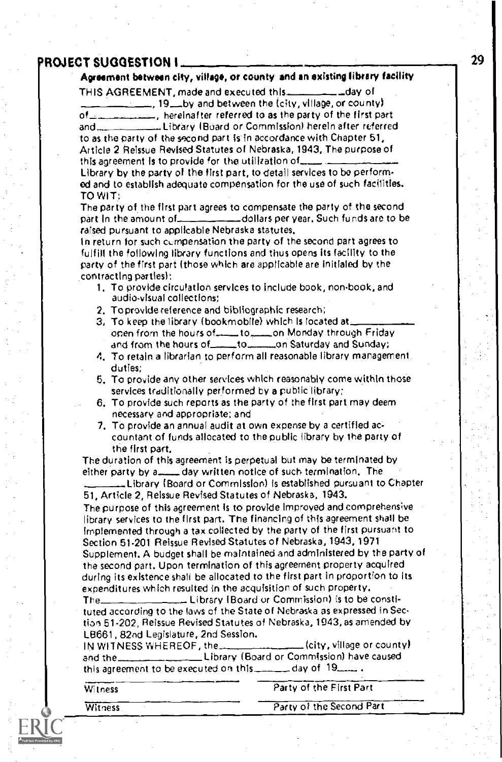## PROJECT SUGGESTION I

## Agreement between city, village, or county and an existing library facility

THIS AGREEMENT, made and executed this \_\_\_\_\_\_\_\_\_\_\_ \_\_ day of

 $\frac{1}{12}$ , 19 by and between the (city, village, or county) of  $\frac{1}{2}$ , hereinafter referred to as the party of the first part and \_\_\_\_\_\_\_\_\_\_\_\_\_\_\_Library (Board or Commission) herein after referred to as the party of the second part is in accordance with Chapter 51,

Article 2 Reissue Revised Statutes of Nebraska, 1943, The purpose of this agreement is to provide for the utilization of...

Library by the party of the first part, to detail services to be performod and to establish adequate compensation for the use of such facilities. TO WIT:

The party of the first part agrees to compensate the party of the second part In the amount of dollars per year, Such funds are to be raised pursuant to applicable Nebraska statutes.

In return for such compensation the party of the second part agrees to fulfill the following library functions and thus opens its facility to the party of the first part (those which are applicable are initialed by the contracting parties):

- 1, To provide circulation services to include book, non-book, and audio-visual collections;
- 2, To provide reference and bibliographic research;
- 3, To keep the library (bookmobile) which Is located at  $\frac{1}{2}$  open from the hours of  $\frac{1}{2}$  to  $\frac{1}{2}$  on Monday through Friday open from the hours ofto,....\_\_on Monday through Friday and from the hours of\_toon Saturday and Sunday;
- 4. To retain a librarian to perform all reasonable library management duties;
- 6. To provide any other services which reasonably come within those services traditionally performed by a public library:
- 6. To provide such reports as the party of the first part may deem necessary and appropriate; and
- 7. To provide an annual audit at own expense by a certified accountant of funds allocated to the public library by the party of the first part.

The duration of this agreement is perpetual but may be terminated by either party by a......... day written notice of such termination. The

Library (Board or Commission) is established pursuant to Chapter 51, Article 2, Reissue Revised Statutes of Nebraska, 1943.

The purpose of this agreement is to provide Improved and comprehensive library services to the first part. The financing of this agreement shall be implemented through a tax collected by the party of the first pursuant to Section 51.201 Reissue Revised Statutes of Nebraska, 1943, 1971 Supplement. A budget shall be maintained and administered by the party of the second part. Upon termination of this agreement property acquired during its existence shall be allocated to the first part in proportion to its expenditures which resulted in the acquisition of such property.

The Library (Board or Commission) is to be constituted according to the laws of the State of Nebraska as expressed in Section 51-202, Reissue Revised Statutes of Nebraska, 1943, as amended by LB661 , 82nd Legislature, 2nd Session.

IN WITNESS WHEREOF, the  $\frac{1}{2}$   $\frac{1}{2}$  (city, village or county) and the Library (Board or Commission) have caused this agreement to be executed on this  $\frac{1}{2}$  day of  $19$ .......

Witness Party of the First Part

Witness Party of the Second Part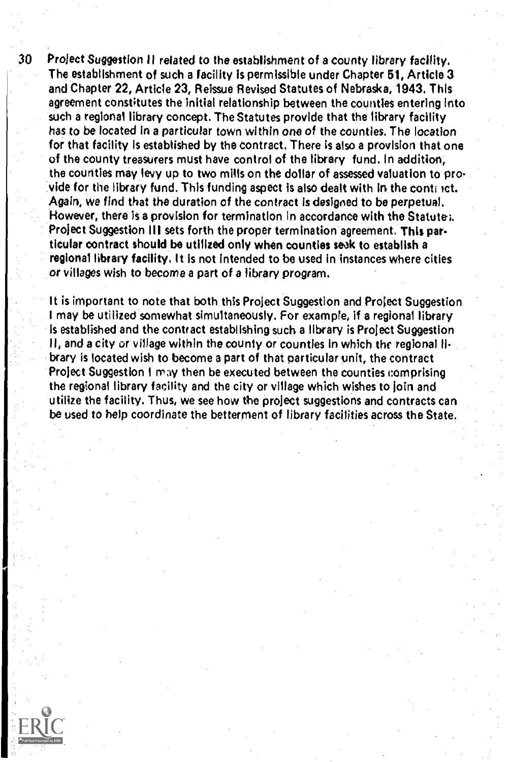30 Project Suggestion II related to the establishment of a county library facility. The establishment of such a facility is permissible under Chapter 61, Article 3 and Chapter 22, Article 23, Reissue Revised Statutes of Nebraska, 1943. This agreement constitutes the initial relationship between the counties entering Into such a regional library concept. The Statutes provide that the library facility has to be located in a particular town within one of the counties. The location for that facility is established by the contract. There is also a provision that one of the county treasurers must have control of the library fund. In addition, the counties may levy up to two mills on the dollar of assessed valuation to provide for the library fund. This funding aspect Is also dealt with in the conti ict. Again, we find that the duration of the contract is designed to be perpetual. However, there is a provision for termination In accordance with the Statute;. Project Suggestion III sets forth the proper termination agreement. This par. ticular contract should be utilized only when counties seak to establish a regional library facility. It is not intended to be used in instances where cities or villages wish to become a part of a library program.

It is important to note that both this Project Suggestion and Project Suggestion I may be utilized somewhat simultaneously. For example, if a regional library is established and the contract establishing such a library is Project Suggestion II, and a city or village within the county or counties in which the regional library is located wish to become a part of that particular unit, the contract Project Suggestion I may then be executed between the counties comprising the regional library facility and the city or village which wishes to join and utilize the facility. Thus, we see how the project suggestions and contracts can be used to help coordinate the betterment of library facilities across the State.

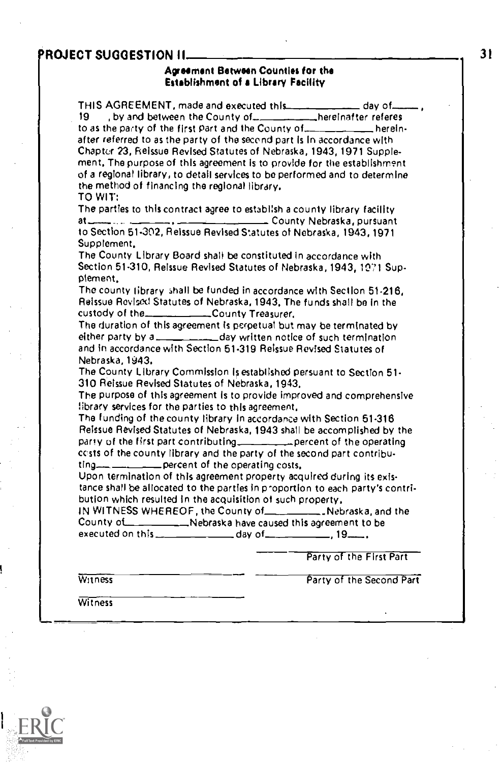# PROJECT SUGGESTION II.

#### Agreement Between Counties for the Establishment of a Library Facility

| THIS AGREEMENT, made and executed this __________ day of ______<br>19.<br>by and between the County of  ___________hereinafter referes                                                                              |
|---------------------------------------------------------------------------------------------------------------------------------------------------------------------------------------------------------------------|
| after referred to as the party of the second part is in accordance with<br>Chapter 23, Reissue Revised Statutes of Nebraska, 1943, 1971 Supple-                                                                     |
| ment. The purpose of this agreement is to provide for the establishment<br>of a regional library, to detail services to be performed and to determine                                                               |
| the method of financing the regional library.<br>TO WIT:                                                                                                                                                            |
| The parties to this contract agree to establish a county library facility                                                                                                                                           |
| to Section 51-302, Reissue Revised Statutes of Nebraska, 1943, 1971<br>Supplement,                                                                                                                                  |
| The County Library Board shall be constituted in accordance with<br>Section 51-310, Reissue Revised Statutes of Nebraska, 1943, 1971 Sup-<br>plement.                                                               |
| The county fibrary shall be funded in accordance with Section 51-216,<br>Reissue Revised Statutes of Nebraska, 1943, The funds shall be in the<br>custody of the ______________County Treasurer.                    |
| The duration of this agreement is perpetual but may be terminated by<br>either party by a _____________ day written notice of such termination<br>and in accordance with Section 51-319 Reissue Revised Statutes of |
| Nebraska, 1943.<br>The County Library Commission is established persuant to Section 51-<br>310 Reissue Revised Statutes of Nebraska, 1943.                                                                          |
| The purpose of this agreement is to provide improved and comprehensive<br>library services for the parties to this agreement,                                                                                       |
| The funding of the county library in accordance with Section 51-316<br>Relssue Revised Statutes of Nebraska, 1943 shall be accomplished by the                                                                      |
| party of the first part contributing. percent of the operating<br>costs of the county library and the party of the second part contribu-                                                                            |
| Upon termination of this agreement property acquired during its exis-<br>tance shall be allocated to the parties in proportion to each party's contri-                                                              |
| bution which resulted in the acquisition of such property,<br>IN WITNESS WHEREOF, the County of ________________ Nebraska, and the                                                                                  |
| County of Nebraska have caused this agreement to be                                                                                                                                                                 |
| Party of the First Part                                                                                                                                                                                             |
| Party of the Second Part<br>Witness                                                                                                                                                                                 |
| Witness                                                                                                                                                                                                             |

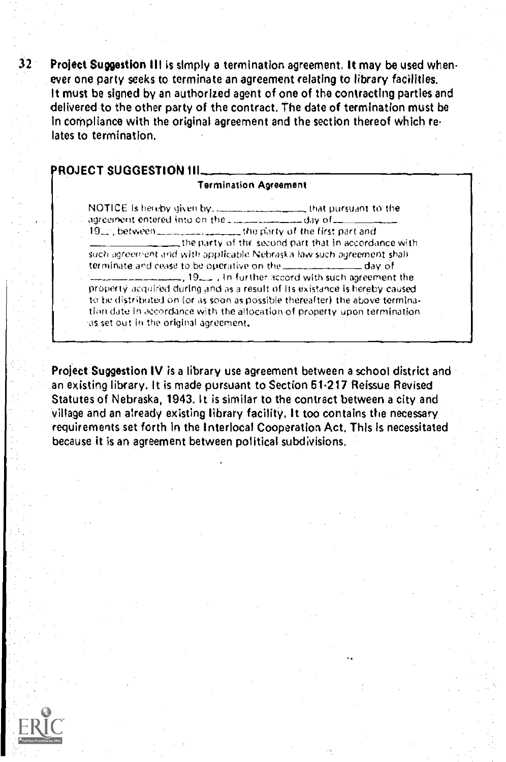32 Project Suggestion III is simply a termination agreement. It may be used when ever one party seeks to terminate an agreement relating to library facilities. It must be signed by an authorized agent of one of the contracting parties and delivered to the other party of the contract. The date of termination must be in compliance with the original agreement and the section thereof which re lates to termination.

## PROJECT SUGGESTION III.

#### Termination Agreement

NOTICE is hereby given by the second that pursuant to the agreement entered into on the comparation of day of 19. between the party of the first part and  $\frac{1}{1-\epsilon}$  the party of the second part that in accordance with such agreement and with applicable Nebraska law such agreement shall terminate and cease to be operative on the **day of** , 19\_ , In further accord with such agreement the property acquired during and as a result of its ex istance is hereby caused to he distributed on (or as soon as possible thereafter) the above termination date in accordance with the allocation of property upon termination as set out in the original agreement.

Project Suggestion IV is a library use agreement between a school district and an existing library. It is made pursuant to Section 51-217 Reissue Revised Statutes of Nebraska, 1943. It is similar to the contract between a city and village and an already existing library facility, It too contains the necessary requirements set forth in the Interlocal Cooperation Act, This Is necessitated because it is an agreement between political subdivisions.

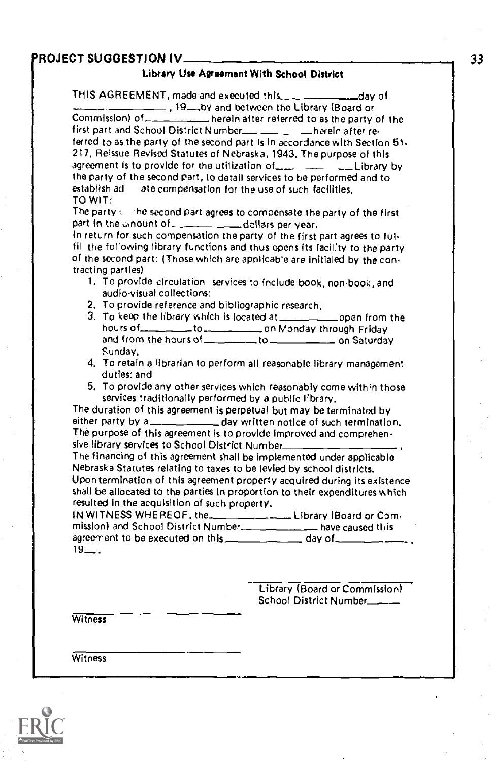## ROJECT SUGGESTION IV

#### Library Use Agreement With School District

THIS AGREEMENT, made and executed this \_dav of 19 by and between the Library (Board or Commission) of herein after referred to as the party of the strain of the strain  $\vert$ first part and School District Number herein after referred to as the party of the second part Is in accordance with Section 51- 217, Reissue Revised Statutes of Nebraska, 1943. The purpose of this agreement is to provide for the utilization of **Library by** the party of the second part, to detail services to be performed and to establish ad at a compensation for the use of such facilities ate compensation for the use of such facilities. TO WIT:

The party  $\leftarrow$  the second part agrees to compensate the party of the first part in the ...nount of dollars per year.

In return for such compensation the party of the first part agrees to fulfill the following library functions and thus opens its facility to the party of the second part: (Those which are applicable are initialed by the contracting parties)

- 1. To provide circulation services to include book, non-book, and audio-visual collections;
- 2. To provide reference and bibliographic research;
- 3. To keep the library which is located at  $\frac{1}{\sqrt{2}}$  open from the hours of the second to the second on Monday through Friday and from the hours of the state on Saturday Sunday,
- 4. To retain a librarian to perform all reasonable library management duties: and
- 5. To provide any other services which reasonably come within those services traditionally performed by a public library,

The duration of this agreement is perpetual but may be terminated by either party by a day written notice of such termination. The purpose of this agreement Is to provide improved and comprehensive library services to School District Number

The financing of this agreement shall be implemented under applicable Nebraska Statutes relating to taxes to be levied by school districts. Upon termination of this agreement property acquired during its existence shall be allocated to the parties in proportion to their expenditures which resulted in the acquisition of such property.

IN WITNESS WHEREOF, the Library (Board or Cammission) and School District Number have caused this agreement to be executed on this \_\_\_\_\_\_\_\_\_\_\_\_\_\_\_ day of\_  $19 - 1$ 

> Library (Board or Commission) School District Number

**Witness** 

**Witness** 

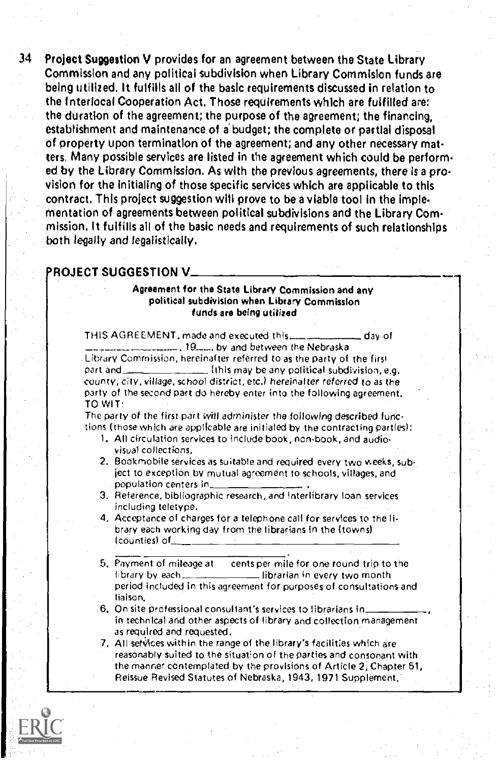34 Project Suggestion V provides for an agreement between the State Library Commission and any political subdivision when Library Commision funds are being utilized. It fulfills all of the basic requirements discussed in relation to the Interlocal Cooperation Act, Those requirements which are fulfilled are: the duration of the agreement; the purpose of the agreement; the financing, establishment and maintenance of a budget; the complete or partial disposal of property upon termination of the agreement; and any other necessary matters. Many possible services are listed in the agreement which could be performed by the Library Commission. As with the previous agreements, there is a provision for the initialing of those specific services which are applicable to this contract. This project suggestion will prove to be a viable tool in the implementation of agreements between political subdivisions and the Library Commission. It fulfills all of the basic needs and requirements of such relationships both legally and legalistically.

## ROJECT SUGGESTION V

#### Agreement for the State Library Commission and any political subdivision when Library Commission funds are being utilized

THIS AGREEMENT, made and executed this \_\_\_\_\_\_\_\_\_\_\_\_\_\_ day of  $=$ , 19, by and between the Nebraska Library Commission, hereinafter referred to as the party of the firs' part and  $t = 1$ ,  $t = 1$ ,  $t = 1$ ,  $t = 0$ ,  $t = 0$ ,  $t = 0$ ,  $t = 0$ ,  $t = 0$ ,  $t = 0$ ,  $t = 0$ ,  $t = 0$ ,  $t = 0$ ,  $t = 0$ ,  $t = 0$ ,  $t = 0$ ,  $t = 0$ ,  $t = 0$ ,  $t = 0$ ,  $t = 0$ ,  $t = 0$ ,  $t = 0$ ,  $t = 0$ ,  $t = 0$ ,  $t = 0$ ,  $t = 0$ ,  $t = 0$ ,  $t =$ county, city, village, school district, etc.) hereinafter referred to as the party of the second part do hereby enter into the following agreement.

TO WIT:

The party of the first part will administer the following described functions (those which are applicable are initialed by the contracting parties):

- 1. All circulation services to include book, non-book, and audiovisual collections.
- 2. Bookmobile services as suitable and required every two weeks, subject to exception by mutual agreement to schools, villages, and population centers in
- 3. Reference, bibliographic research, and interlibrary loan services including teletype,
- 4. Acceptance of charges for a telephone call for services to the library each working day from the librarians in the (towns) (counties) of
- 5, Payment of mileage at cents per mile for one round trip to the librarian in every two month period included in this agreement for purposes of consultations and liaison.
- 6, On site professional consultant's services to librarians in in technical and other aspects of library and collection management as required and requested,
- 7. All services within the range of the library's facilities which are reasonably suited to the situation of the parties and consonant with the manner contemplated by the provisions of Article 2, Chapter 51 Reissue Revised Statutes of Nebraska, 1943,1971 Supplement.

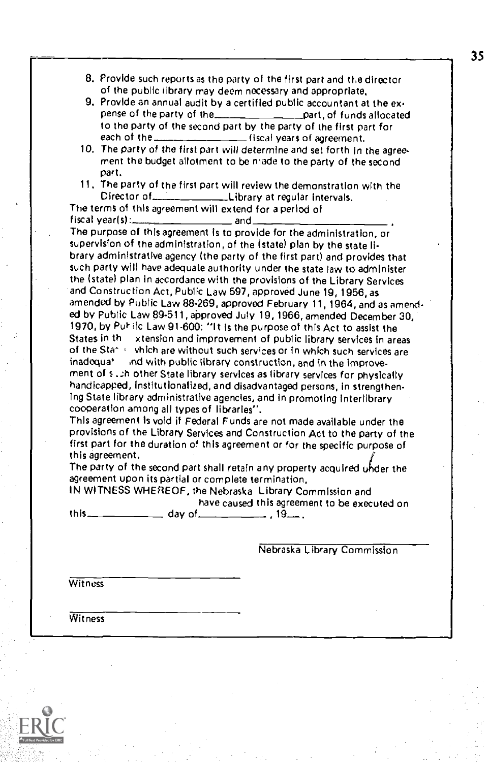- 8. Provide such reports as the party of the first part and the director of the public library may deem necessary and appropriate,
- 9. Provide an annual audit by a certified public accountant at the expense of the party of the part, of funds allocated to the party of the second part by the party of the first part for each of the  $\frac{1}{2}$  reach of the  $\frac{1}{2}$  reach of accement. Geal years of agreement.
- 10, The party of the first part will determine and set forth in the agreement the budget allotment to be made to the party of the second part.
- 11. The party of the first part will review the demonstration with the Director of  $\frac{1}{2}$  Library at requilar intervals Library at regular intervals.

The terms of this agreement will extend for a period of  $f$ iscal year(s): $\qquad \qquad$  and

The purpose of this agreement is to provide for the administration, or supervision of the administration, of the (state) plan by the state library administrative agency (the party of the first part) and provides that such party will have adequate authority under the state law to administer the (state) plan in accordance with the provisions of the Library Services and Construction Act, Public Law 597, approved June 19,1956, as amended by Public Law 88-269, approved February 11,1964, and as amended by Public Law 89-511, approved July 19,1966, amended December 30, 1970, by Put- ilc Law 91-600: "It is the purpose of this Act to assist the States in a region and improvement of public library services in a region xtension and improvement of public library services in areas of the State- which are without such services or in which such services are inadequation and with public library construction, and in the improveind with public library construction, and in the improvement of s..:h other State library services as library services for physically handicapped, institutionalized, and disadvantaged persons, in strengthening State library administrative agencies, and in promoting interlibrary cooperation among al) types of libraries".

This agreement is void if Federal Funds are not made available under the provisions of the Library Services and Construction Act to the party of the first part for the duration of this agreement or for the specific purpose of this agreement.

The party of the second part shall retain any property acquired under the agreement upon its partial or complete termination.

IN WITNESS WHEREOF, the Nebraska Library Commission and have caused this agreement to be executed on

this day of , 19,

Nebraska Library Commission

**Witness** 

**Witness** 

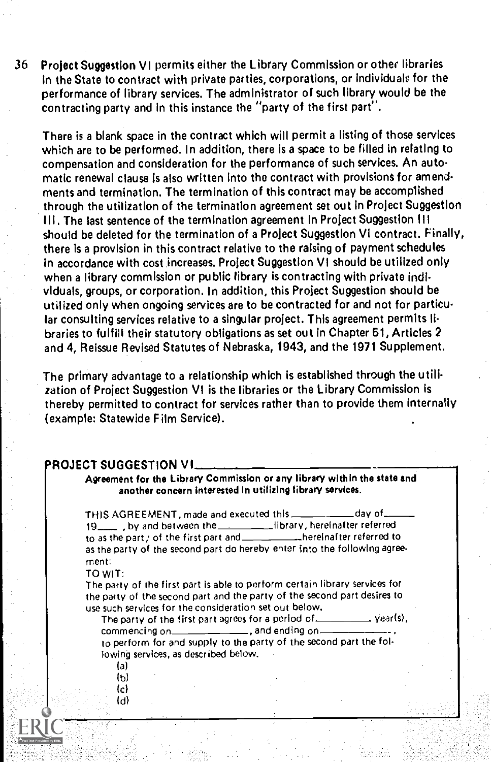36 Project Suggestion VI permits either the Library Commission or other libraries in the State to contract with private parties, corporations, or individuak for the performance of library services. The administrator of such library would be the contracting party and in this instance the "party of the first part".

There is a blank space in the contract which will permit a listing of those services which are to be performed. In addition, there is a space to be filled in relating to compensation and consideration for the performance of such services. An automatic renewal clause is also written Into the contract with provisions for amendments and termination. The termination of this contract may be accomplished through the utilization of the termination agreement set out in Project Suggestion III. The last sentence of the termination agreement in Project Suggestion III should be deleted for the termination of a Project Suggestion VI contract. Finally, there is a provision in this contract relative to the raising of payment schedules in accordance with cost increases. Project Suggestion VI should be utilized only when a library commission or public library is contracting with private individuals, groups, or corporation. In addition, this Project Suggestion should be utilized only when ongoing services are to be contracted for and not for particular consulting services relative to a singular project. This agreement permits libraries to fulfill their statutory obligations asset out in Chapter 61, Articles 2 and 4, Reissue Revised Statutes of Nebraska, 1943, and the 1971 Supplement,

The primary advantage to a relationship which is established through the utilization of Project Suggestion VI is the libraries or the Library Commission is thereby permitted to contract for services rather than to provide them internally (example: Statewide Film Service),

#### ROJECT SUGGESTION VI

Agreement for the Library Commission or any library within the state and another concern interested In utilizing library services.

THIS AGREEMENT, made and executed this \_\_\_\_\_\_\_\_\_\_\_\_ day of\_ 19 , by and between the library, hereinafter referred to as the part; of the first part and \_\_\_\_\_\_\_\_\_\_\_\_\_\_hereinafter referred to as the party of the second part do hereby enter into the following agreement.

#### TO WIT:

The party of the first part is able to perform certain library services for the party of the second part and the party of the second part desires to use such services for the consideration set out below.

The party of the first part agrees for a period of  $\qquad \qquad$  year(s), commencing on  $\sqrt{a}$  , and ending on  $\sqrt{a}$ to perform for and supply to the party of the second part the following services, as described below.

(a)  $(b)$  $(c)$ (d)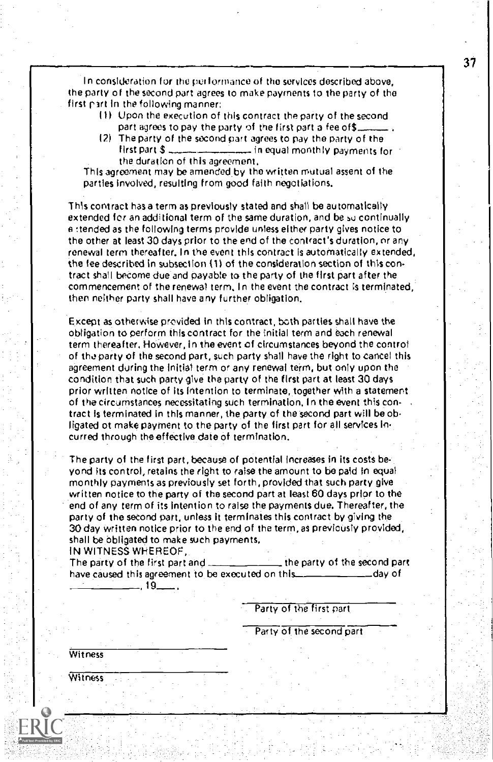In consideration for the per formance of the services described above, the party of the second part agrees to make payments to the party of the first part in the following manner;

- II) Upon the execution of this contract the party of the second part agrees to pay the party of the first part a fee of\$\_
- 121 The party of the second part agrees to pay the party of the litest part  $\hat{S}_{\text{deph}}$  in equal monthly payments for  $\pm$  in equal monthly payments for the duration of this agreement,

This agreement may be amended by the written mutual assent of the Parties involved, resulting from good faith negotiations.

This contract has a term as previously stated and shall be automatically extended for an additional term of the same duration, and be su continually e !tended as the following terms provide unless either party gives notice to the other at least 30 days prior to the end of the contract's duration, or any renewal term thereafter. In the event this contract is automatically extended, the fee described in subsection (1) of the consideration section of this contract shall become due and payable to the party of the first part after the commencement of the renewal term. In the event the contract is terminated, then neither party shall have any further obligation.

Except as otherwise provided in this contract, both parties shall have the obligation to perform this contract for the initial term and each renewal term thereafter. However, in the event of circumstances beyond the control of tho party of the second part, such party shall have the right to cancel this agreement during the Initial term or any renewal term, but only upon the condition that such party give the party of the first part at least 30 days prior written notice of its Intention to terminate, together with a statement of the circumstances necessitating such termination, In the event this contract is terminated in this manner, the party of the second part will be obligated of make payment to the party of the first part for all services Incurred through the effective date of termination.

The party of the first part, because of potential increases in its costs be-Yond its control, retains the right to raise the amount to be paid in equal monthly payments as previously set forth, provided that such party give written notice to the party of the second part at least 60 days prior to the end of any term of its intention to raise the payments due. Thereafter, the party of the second part, unless it terminates this contract by giving the 30 day written notice prior to the end of the term, as previously provided, shall be obligated to make such payments.

IN WITNESS WHEREOF,

The party of the first part and  $\frac{1}{1-\frac{1}{1-\frac{1}{1-\frac{1}{1-\frac{1}{1-\frac{1}{1-\frac{1}{1-\frac{1}{1-\frac{1}{1-\frac{1}{1-\frac{1}{1-\frac{1}{1-\frac{1}{1-\frac{1}{1-\frac{1}{1-\frac{1}{1-\frac{1}{1-\frac{1}{1-\frac{1}{1-\frac{1}{1-\frac{1}{1-\frac{1}{1-\frac{1}{1-\frac{1}{1-\frac{1}{1-\frac{1}{1-\frac{1}{1-\frac{1}{1-\frac{1}{1-\frac{1}{1-\frac{1}{1-\frac$ have caused this agreement to be executed on this \_\_\_\_\_\_\_\_\_\_\_\_\_\_\_\_\_\_\_\_\_\_\_day of ,19 ,

Party of the first part

Party of the second part

**Witness** 

Witness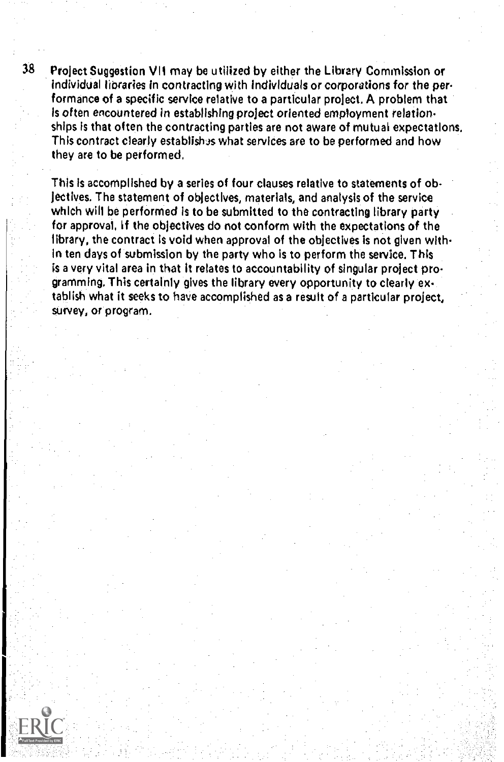38 Project Suggestion VII may be utilized by either the Library Commission or individual libraries in contracting with individuals or corporations for the performance of a specific service relative to a particular project. A problem that is often encountered in establishing project oriented employment relationships Is that often the contracting parties are not aware of mutual expectations. This contract clearly establishes what services are to be performed and how they are to be performed,

This is accomplished by a series of four clauses relative to statements of objectives. The statement of objectives, materials, and analysis of the service which will be performed is to be submitted to the contracting library party for approval, If the objectives do not conform with the expectations of the library, the contract is void when approval of the objectives is not given within ten days of submission by the party who is to perform the service. This is a very vital area in that it relates to accountability of singular project programming. This certainly gives the library every opportunity to clearly extablish what it seeks to have accomplished as a result of a particular project, survey, or program.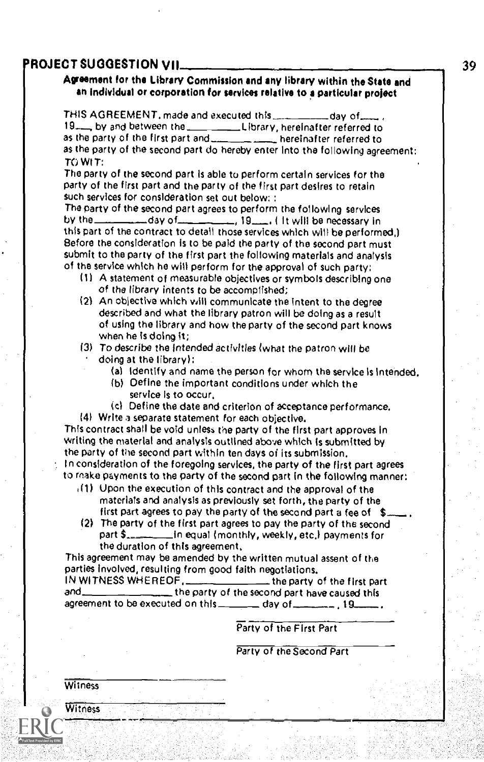## ROJECT SUGGESTION VII 39

#### Agreement for the library Commission and any library within the State and an individual or corporation for services relative to a particular project

THIS AGREEMENT, made and executed this \_\_\_\_\_\_\_\_\_\_\_day of \_\_\_\_\_.<br>19\_\_\_\_ by and between the \_\_\_\_\_\_\_\_\_\_\_\_Library, hereinafter referred to as the party of the first part and \_\_\_\_\_\_\_\_\_\_\_\_\_ hereinafter referred to as the party of the second part do hereby enter into the following agreement: TO WIT:

The party of the second part Is able to perform certain services for the party of the first part and the party of the first part desires to retain such services for consideration set out below:

The party of the second part agrees to perform the following services<br>by the  $\frac{1}{2}$  second pay of  $\frac{1}{2}$  second 19,  $\frac{1}{2}$  is twill be necessary in  $\frac{1}{19}$ , 19  $\frac{1}{19}$ , if will be necessary in this part of the contract to detail those services which will be performed,) Before the consideration is to be paid the party of the second part must submit to the party of the first part the following materials and analysis of the service which he will perform for the approval of such party;

- (1) A statement of measurable objectives or symbols describing one of the library intents to be accomplished;
- (2) An objective which will communicate the intent to the degree described and what the library patron will be doing as a result of using the library and how the party of the second part knows when he Is doing it;
- (3) To describe the intended activities (what the patron will be
	- doing at the library);
		- (a) Identify and name the person for whom the service is Intended.
		- (b) Define the important conditions under which the service Is to occur,
- (c) Define the date and criterion of acceptance performance, 14) Write a separate statement for each objective.

This contract shall be void unless the party of the first part approves in writing the material and analysis outlined above which is submitted by the party of the second part within ten days of its submission, In consideration of the foregoing services, the party of the first part agrees

- to make payments to the party of the second part in the following manner:
	- $(1)$  Upon the execution of this contract and the approval of the materials and analysis as previously set forth, the party of the first part agrees to pay the party of the second part a fee of  $\,$  \$...
	- (2) The party of the first part agrees to pay the party of the second part  $\frac{1}{2}$  in equal (monthly, weekly, etc.) payments for the duration of this agreement,

This agreement may be amended by the written mutual assent of the parties involved, resulting from good faith negotiations.<br>IN WITNESS WHEREOF, \_\_\_\_\_\_\_\_\_\_\_\_\_\_\_\_\_\_the party of

IN WITNESS WHEREOF,  $\rule{1em}{0.15mm}$  the party of the first part and  $\rule{1em}{0.15mm}$  the party of the second part have caused this the party of the second part have caused this. agreement to be executed on this  $\frac{1}{1}$  day of  $\frac{1}{1}$   $\frac{1}{1}$ .

#### Party of the First Part

Party of the Second Part

Witness

Witness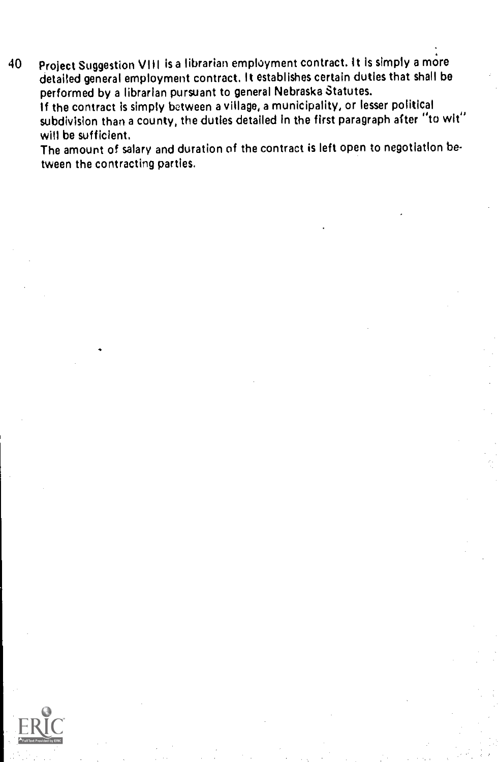40 Project Suggestion VIII is a librarian employment contract. it Is simply a more detailed general employment contract. It establishes certain duties that shall be performed by a librarian pursuant to general Nebraska Statutes. If the contract is simply between a village, a municipality, or lesser political subdivision than a county, the duties detailed in the first paragraph after "to wit" will be sufficient.

The amount of salary and duration of the contract is left open to negotiation between the contracting parties.

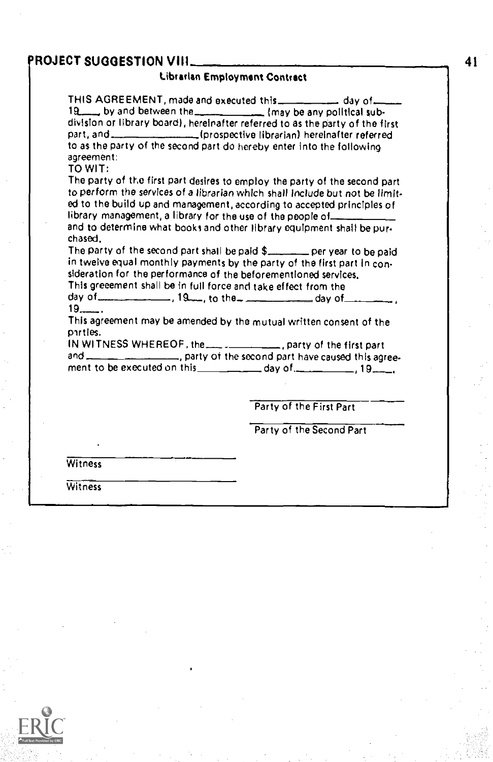## 'ROJECT SUGGESTION VIII

#### Librarian Employment Contract

THIS AGREEMENT, made and executed this \_\_\_\_\_\_\_\_\_ day of 19. by and between the may be any political subdivision or library board), hereinafter referred to as the party of the first part, and [prospective librarian) hereinafter referred to as the party of the second part do hereby enter into the following agreement:

TO WIT:

The party of the first part desires to employ the party of the second part to perform the services of a librarian which shall Include but not be limited to the build up and management, according to accepted principles of library management, a library for the use of the people of and to determine what books and other library equipment shall be pur-

chased.

The party of the second part shall be paid  $\frac{1}{2}$  per year to be paid in twelve equal monthly payments by the party of the first part in consideration for the performance of the beforementloned services.

This greeement shall be In full force and take effect from the

day of  $\frac{19}{19}$ , to the  $\frac{19}{19}$  ay of  $\frac{19}{19}$ .

This agreement may be amended by the mutual written consent of the pirtles.

IN WITNESS WHEREOF, the  $\frac{p_1}{p_2}$ , party of the first part and  $\frac{p_1}{p_2}$ ,  $\frac{p_2}{p_1}$ , party of the second part have caused this agreement. <sub>and</sub>, party of the second part have caused this agree-

ment to be executed on this  $\qquad \qquad$  day of.  $\qquad \qquad$  19 $\qquad \qquad$ 

Party of the First Part

Party of the Second Part

**Witness** 

**Witness**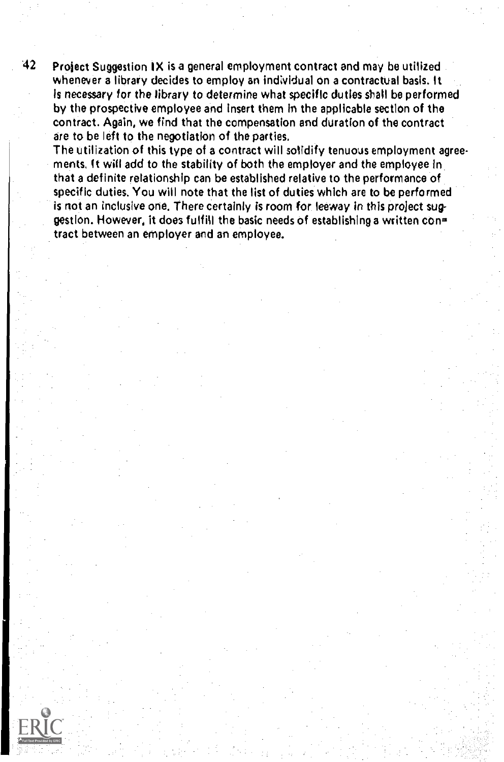$42$  Project Suggestion IX is a general employment contract and may be utilized whenever a library decides to employ an individual on a contractual basis. It is necessary for the library to determine what specific duties shall be performed by the prospective employee and insert them In the applicable section of the contract. Again, we find that the compensation and duration of the contract are to be left to the negotiation of the parties.

The utilization of this type of a contract will solidify tenuous employment agreements. It will add to the stability of both the employer and the employee in that a definite relationship can be established relative to the performance of specific duties. You will note that the list of duties which are to be performed is not an inclusive one. There certainly is room for leeway in this project suggestion. However, it does fulfill the basic needs of establishing a written con= tract between an employer and an employee.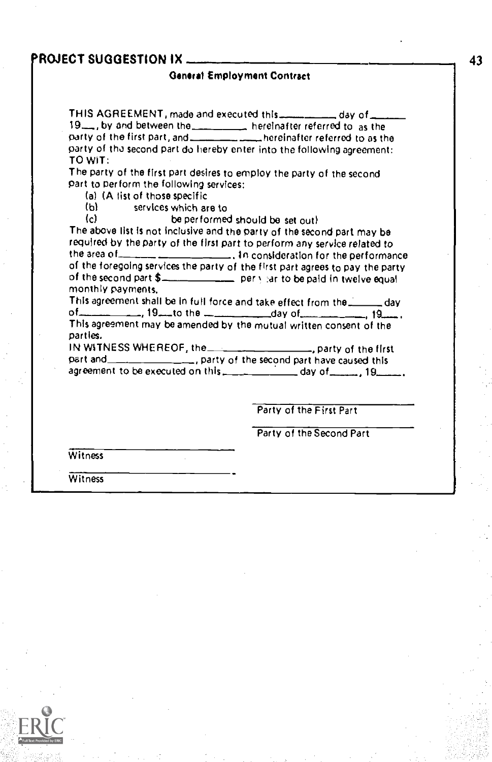## PROJECT SUGGESTION IX ...

#### General Employment Contract

THIS AGREEMENT, made and executed this  $\frac{1}{1}$  and  $\frac{1}{1}$ 19<sub>-1</sub>, by and between the hereinafter referred to as the party of the first part, and hereinafter referred to as the party of tha second part do hereby enter into the following agreement: TO WIT:

The party of the first part desires to employ the party of the second part to Perform the following services:

(a) (A list of those specific<br>(b) services which are

(b) services which are to<br>(c) be performed

be performed should be set out)

The above list is not inclusive and the party of the second part may be required by the party of the first part to perform any service related to the area of \_\_\_\_\_\_\_\_\_\_\_\_\_\_\_\_\_\_\_\_\_\_. In consideration for the performance of the foregoing services the party of the first part agrees to pay the party of the second part \$\_\_\_\_\_\_\_\_\_\_\_\_\_\_ per yiar to be paid in twelve equal monthly payments,<br>This agreement shall be in full force and take effect from the......

This agreement shall be in full force and take effect from the  $\frac{1}{2}$  day of  $\frac{1}{2}$  , 19  $\frac{1}{2}$  , 19  $\frac{1}{2}$  , 19  $\frac{1}{2}$  , 19  $\frac{1}{2}$  , 19  $\frac{1}{2}$  , 19  $\frac{1}{2}$  , 19  $\frac{1}{2}$  , 19  $\frac{1}{2}$  , 19  $\frac{1}{$ This agreement may be amended by the mutual written consent of the parties.

IN WITNESS WHEREOF, the **contract of the first**, party of the first part and **example 20**, party of the second part have caused this agreement to be executed on this  $\frac{1}{2}$  day of  $\frac{1}{2}$ , 19 $\frac{1}{2}$ 

Party of the First Part

Party of the Second Part

**Witness** 

**Witness** 

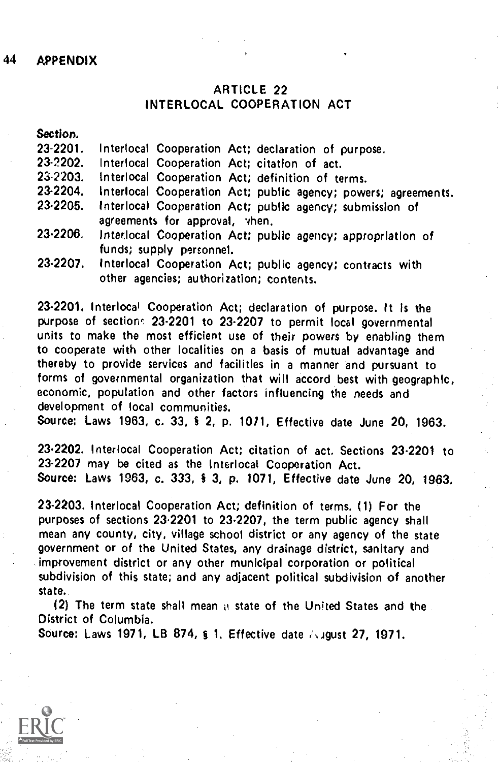## 44 APPENDIX

## ARTICLE 22 INTERLOCAL COOPERATION ACT

Section.

| 23-2201. Interlocal Cooperation Act; declaration of purpose. |  |  |  |  |  |  |
|--------------------------------------------------------------|--|--|--|--|--|--|
|--------------------------------------------------------------|--|--|--|--|--|--|

23-2202. Interlocal Cooperation Act; citation of act.<br>23-2203. Interlocal Cooperation Act: definition of te

23-2203. Interlocal Cooperation Act; definition of terms.<br>23-2204. Interlocal Cooperation Act: public agency: nowe

- 23-2204. Interlocal Cooperation Act; public agency; powers; agreements.<br>23-2205. Interlocal Cooperation Act: public agency: submission of
- Interlocal Cooperation Act; public agency; submission of agreements for approval, vhen.
- 23-2206. Interlocal Cooperation Act; public agency; appropriation of funds; supply personnel.
- 23-2207. Interlocal Cooperation Act; public agency; contracts with other agencies; authorization; contents.

23-2201. Interlocal Cooperation Act; declaration of purpose. It is the purpose of section: 23-2201 to 23-2207 to permit local governmental units to make the most efficient use of their powers by enabling them to cooperate with other localities on a basis of mutual advantage and thereby to provide services and facilities in a manner and pursuant to forms of governmental organization that will accord best with geographic, economic, population and other factors influencing the needs and development of local communities.

Source; Laws 1963, c. 33, § 2, p. 1071, Effective date June 20, 1963.

23-2202. Interlocal Cooperation Act; citation of act. Sections 23-2201 to 23-2207 may be cited as the Interlocal Cooperation Act. Source: Laws 1063, c. 333, 3 3, p. 1071, Effective date June 20, 1963,

23-2203. Interlocal Cooperation Act; definition of terms. (1) For the purposes of sections 23.2201 to 23.2207, the term public agency shall mean any county, city, village school district or any agency of the state government or of the United States, any drainage district, sanitary and improvement district or any other municipal corporation or political subdivision of this state; and any adjacent political subdivision of another state.

(2) The term state shall mean a state of the United States and the District of Columbia.

Source: Laws 1971, LB 874, § 1. Effective date August 27, 1971.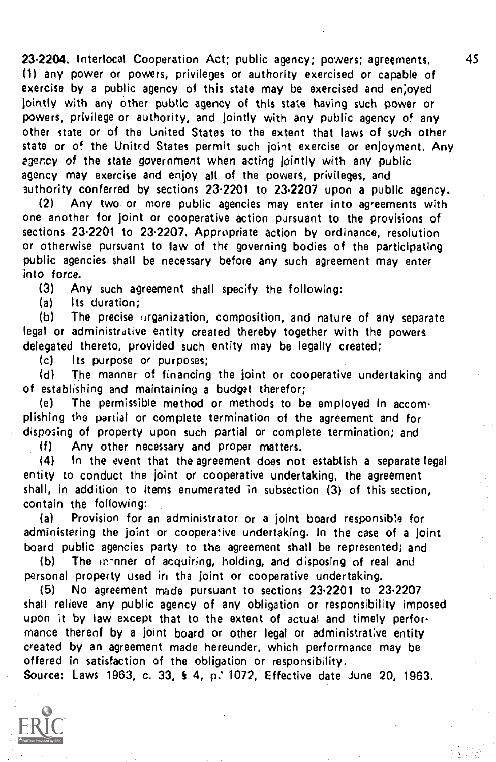23-2204. Interlocal Cooperation Act; public agency; powers; agreements. 45 (1) any power or powers, privileges or authority exercised or capable of exercise by a public agency of this state may be exercised and enjoyed jointly with any other public agency of this state having such power or powers, privilege or authority, and jointly with any public agency of any other state or of the United States to the extent that laws of such other state or of the United States permit such joint exercise or enjoyment. Any agency of the state government when acting jointly with any public agency may exercise and enjoy all of the powers, privileges, and authority conferred by sections 23.2201 to 23.2207 upon a public agency.

(2) Any two or more public agencies may enter into agreements with one another for joint or cooperative action pursuant to the provisions of sections 23.2201 to 23.2207. Appropriate action by ordinance, resolution or otherwise pursuant to law of the governing bodies of the participating public agencies shall be necessary before any such agreement may enter into force.

(3) Any such agreement shall specify the following:

Its duration;

(b) The precise organization, composition, and nature of any separate legal or administrative entity created thereby together with the powers delegated thereto, provided such entity may be legally created;

(c) Its purpose or purposes;<br>(d) The manner of financine

The manner of financing the joint or cooperative undertaking and of establishing and maintaining a budget therefor;

(e) The permissible method or methods to be employed in accomplishing the partial or complete termination of the agreement and for disposing of property upon such partial or complete termination; and

(f) Any other necessary and proper matters.

(4) In the event that the agreement does not establish a separate legal entity to conduct the joint or cooperative undertaking, the agreement shall, in addition to items enumerated in subsection (3) of this section, contain the following:

(a) Provision for an administrator or a joint board responsible for administering the joint or cooperative undertaking. In the case of a joint board public agencies party to the agreement shall be represented; and

(b) The in-nner of acquiring, holding, and disposing of real and personal property used in the joint or cooperative undertaking.

(5) No agreement made pursuant to sections 23.2201 to 23.2207 shall relieve any public agency of any obligation or responsibility imposed upon it by law except that to the extent of actual and timely performance thereof by a joint board or other legal or administrative entity created by an agreement made hereunder, which performance may be offered in satisfaction of the obligation or responsibility. Source: Laws 1963, c. 33, § 4, p. 1072, Effective date June 20, 1963.

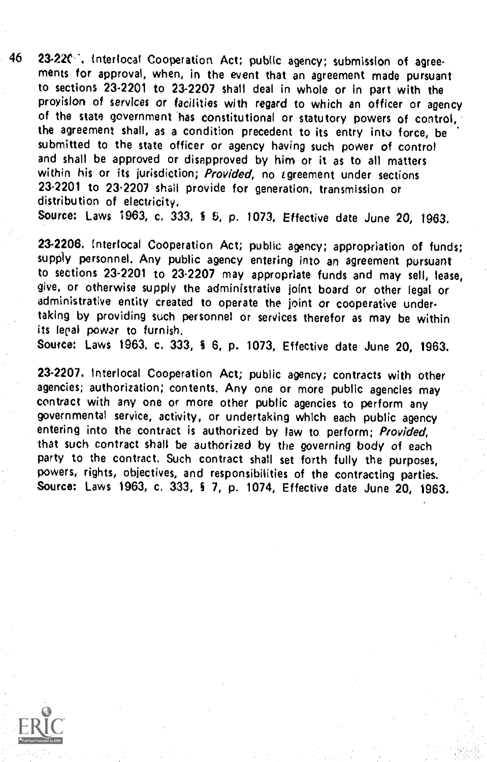46 23-22C: interlocal Cooperation Act; public agency; submission of agreements for approval, when, in the event that an agreement made pursuant to sections 23.2201 to 23-2207 shall deal in whole or In part with the provision of services or facilities with regard to which an officer or agency of the state government has constitutional or statutory powers of control, the agreement shall, as a condition precedent to its entry into force, be submitted to the state officer or agency having such power of control and shall be approved or disapproved by him or it as to all matters within his or its jurisdiction; Provided, no agreement under sections 23.2201 to 23.2207 shall provide for generation, transmission or distribution of electricity,

Source: Laws 1963, c. 333, § 5, p. 1073, Effective date June 20, 1963.

23-2206. tnterlocal Cooperation Act; public agency; appropriation of funds; supply personnel. Any public agency entering into an agreement pursuant to sections 23-2201 to 23.2207 may appropriate funds and may sell, lease, give, or otherwise supply the administrative joint board or other legal or administrative entity created to operate the joint or cooperative undertaking by providing such personnel or services therefor as may be within its legal power to furnish.

Source: Laws 1963, c. 333, 6, p. 1073, Effective date June 20, 1963.

23-2207. Interlocal Cooperation Act; public agency; contracts with other agencies; authorization; contents. Any one or more public agencies may contract with any one or more other public agencies to perform any governmental service, activity, or undertaking which each public agency entering into the contract is authorized by law to perform; Provided, that such contract shall be authorized by the governing body of each party to the contract. Such contract shall set forth fully the purposes, powers, rights, objectives, and responsibilities of the contracting parties. Source: Laws 1963, c. 333, § 7, p. 1074, Effective date June 20, 1963.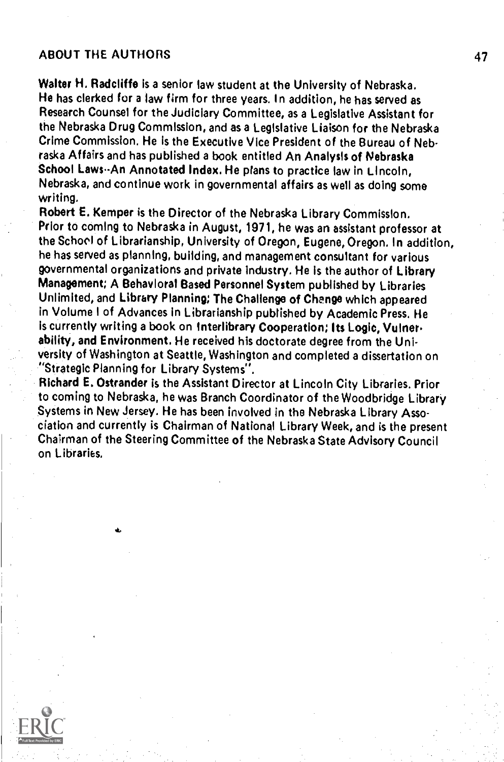## ABOUT THE AUTHORS 47

Walter H. Radcliffe is a senior law student at the University of Nebraska. He has clerked for a law firm for three years. In addition, he has served as Research Counsel for the Judiciary Committee, as a Legislative Assistant for the Nebraska Drug Commission, and as a Legislative Liaison for the Nebraska Crime Commission, He is the Executive Vice President of the Bureau of Nebraska Affairs and has published a book entitled An Analysis of Nebraska School Laws--An Annotated Index. He plans to practice law in Lincoln, Nebraska, and continue work in governmental affairs as well as doing some writing.

Robert E. Kemper is the Director of the Nebraska Library Commission. Prior to coming to Nebraska in August, 1971, he was an assistant professor at the School of Librarianship, University of Oregon, Eugene, Oregon. In addition, he has served as planning, building, and management consultant for various governmental organizations and private industry. He is the author of Library Management; A Behavioral Based Personnel System published by Libraries Unlimited, and Library Planning; The Challenge of Change which appeared in Volume I of Advances in Librarianship published by Academic Press, He is currently writing a book on Interlibrary Cooperation; Its Logic, Vulnerability, and Environment. He received his doctorate degree from the University of Washington at Seattle, Washington and completed a dissertation on "Strategic Planning for Library Systems".

Richard E. Ostrander is the Assistant Director at Lincoln City Libraries. Prior to coming to Nebraska, he was Branch Coordinator of the Woodbridge Library Systems in New Jersey. He has been involved in the Nebraska Library Association and currently is Chairman of National Library Week, and is the present Chairman of the Steering Committee of the Nebraska State Advisory Council on Libraries.